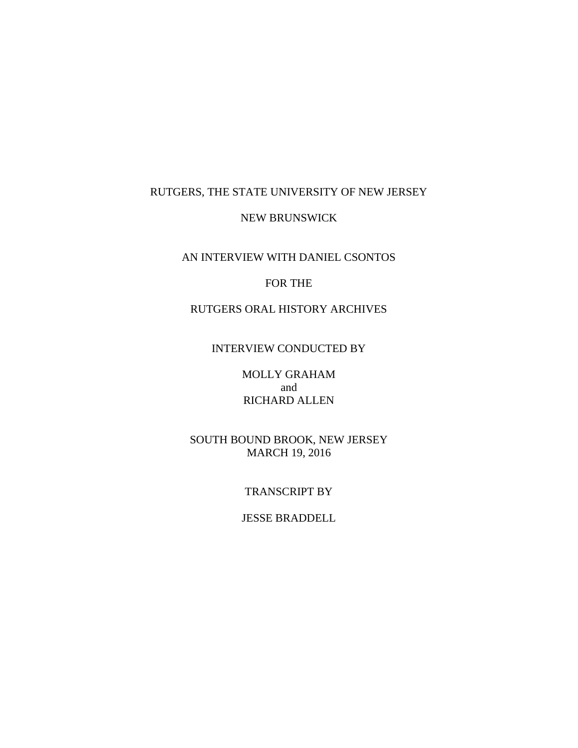## RUTGERS, THE STATE UNIVERSITY OF NEW JERSEY

### NEW BRUNSWICK

### AN INTERVIEW WITH DANIEL CSONTOS

### FOR THE

# RUTGERS ORAL HISTORY ARCHIVES

### INTERVIEW CONDUCTED BY

MOLLY GRAHAM and RICHARD ALLEN

SOUTH BOUND BROOK, NEW JERSEY MARCH 19, 2016

#### TRANSCRIPT BY

### JESSE BRADDELL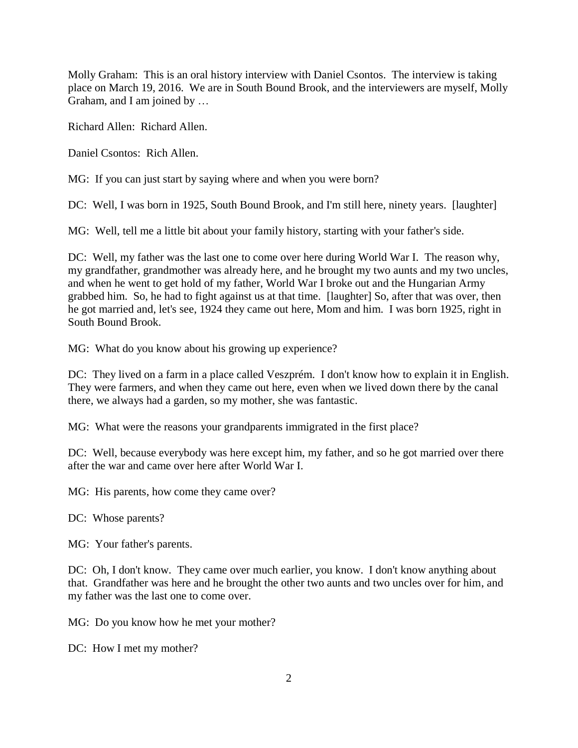Molly Graham: This is an oral history interview with Daniel Csontos. The interview is taking place on March 19, 2016. We are in South Bound Brook, and the interviewers are myself, Molly Graham, and I am joined by …

Richard Allen: Richard Allen.

Daniel Csontos: Rich Allen.

MG: If you can just start by saying where and when you were born?

DC: Well, I was born in 1925, South Bound Brook, and I'm still here, ninety years. [laughter]

MG: Well, tell me a little bit about your family history, starting with your father's side.

DC: Well, my father was the last one to come over here during World War I. The reason why, my grandfather, grandmother was already here, and he brought my two aunts and my two uncles, and when he went to get hold of my father, World War I broke out and the Hungarian Army grabbed him. So, he had to fight against us at that time. [laughter] So, after that was over, then he got married and, let's see, 1924 they came out here, Mom and him. I was born 1925, right in South Bound Brook.

MG: What do you know about his growing up experience?

DC: They lived on a farm in a place called Veszprém. I don't know how to explain it in English. They were farmers, and when they came out here, even when we lived down there by the canal there, we always had a garden, so my mother, she was fantastic.

MG: What were the reasons your grandparents immigrated in the first place?

DC: Well, because everybody was here except him, my father, and so he got married over there after the war and came over here after World War I.

MG: His parents, how come they came over?

DC: Whose parents?

MG: Your father's parents.

DC: Oh, I don't know. They came over much earlier, you know. I don't know anything about that. Grandfather was here and he brought the other two aunts and two uncles over for him, and my father was the last one to come over.

MG: Do you know how he met your mother?

DC: How I met my mother?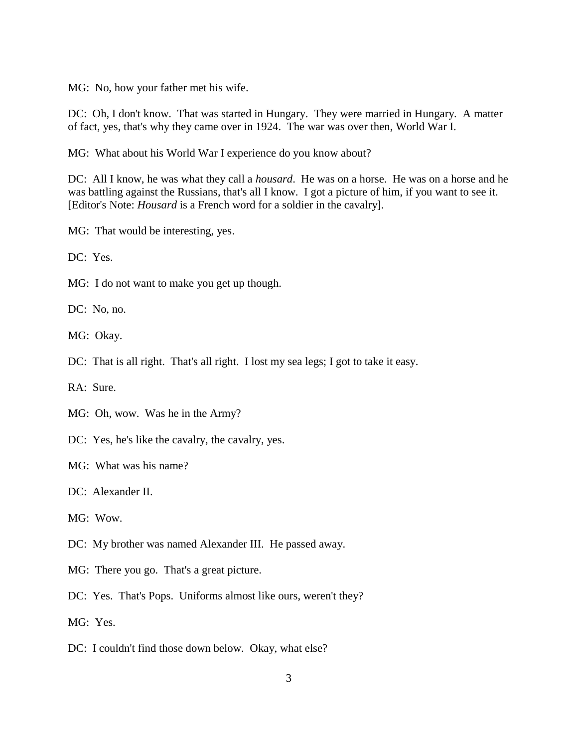MG: No, how your father met his wife.

DC: Oh, I don't know. That was started in Hungary. They were married in Hungary. A matter of fact, yes, that's why they came over in 1924. The war was over then, World War I.

MG: What about his World War I experience do you know about?

DC: All I know, he was what they call a *housard*. He was on a horse. He was on a horse and he was battling against the Russians, that's all I know. I got a picture of him, if you want to see it. [Editor's Note: *Housard* is a French word for a soldier in the cavalry].

MG: That would be interesting, yes.

DC: Yes.

MG: I do not want to make you get up though.

DC: No, no.

MG: Okay.

DC: That is all right. That's all right. I lost my sea legs; I got to take it easy.

RA: Sure.

- MG: Oh, wow. Was he in the Army?
- DC: Yes, he's like the cavalry, the cavalry, yes.

MG: What was his name?

DC: Alexander II.

MG: Wow.

- DC: My brother was named Alexander III. He passed away.
- MG: There you go. That's a great picture.
- DC: Yes. That's Pops. Uniforms almost like ours, weren't they?

MG: Yes.

DC: I couldn't find those down below. Okay, what else?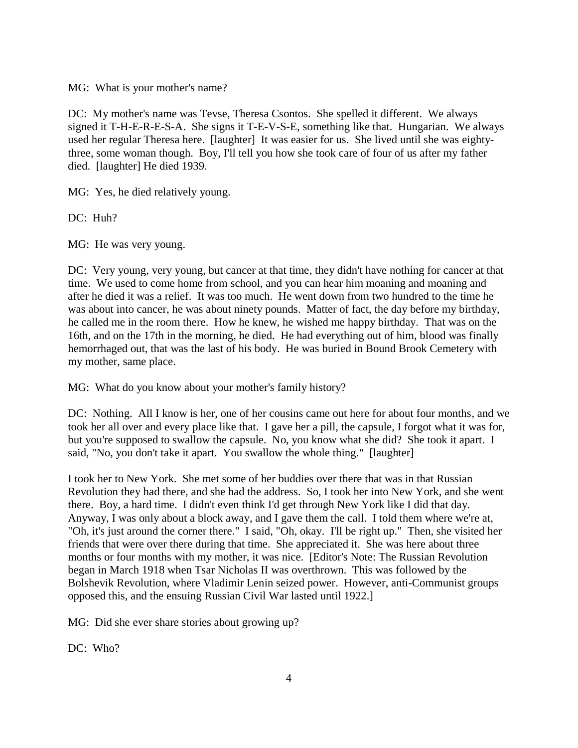MG: What is your mother's name?

DC: My mother's name was Tevse, Theresa Csontos. She spelled it different. We always signed it T-H-E-R-E-S-A. She signs it T-E-V-S-E, something like that. Hungarian. We always used her regular Theresa here. [laughter] It was easier for us. She lived until she was eightythree, some woman though. Boy, I'll tell you how she took care of four of us after my father died. [laughter] He died 1939.

MG: Yes, he died relatively young.

DC: Huh?

MG: He was very young.

DC: Very young, very young, but cancer at that time, they didn't have nothing for cancer at that time. We used to come home from school, and you can hear him moaning and moaning and after he died it was a relief. It was too much. He went down from two hundred to the time he was about into cancer, he was about ninety pounds. Matter of fact, the day before my birthday, he called me in the room there. How he knew, he wished me happy birthday. That was on the 16th, and on the 17th in the morning, he died. He had everything out of him, blood was finally hemorrhaged out, that was the last of his body. He was buried in Bound Brook Cemetery with my mother, same place.

MG: What do you know about your mother's family history?

DC: Nothing. All I know is her, one of her cousins came out here for about four months, and we took her all over and every place like that. I gave her a pill, the capsule, I forgot what it was for, but you're supposed to swallow the capsule. No, you know what she did? She took it apart. I said, "No, you don't take it apart. You swallow the whole thing." [laughter]

I took her to New York. She met some of her buddies over there that was in that Russian Revolution they had there, and she had the address. So, I took her into New York, and she went there. Boy, a hard time. I didn't even think I'd get through New York like I did that day. Anyway, I was only about a block away, and I gave them the call. I told them where we're at, "Oh, it's just around the corner there." I said, "Oh, okay. I'll be right up." Then, she visited her friends that were over there during that time. She appreciated it. She was here about three months or four months with my mother, it was nice. [Editor's Note: The Russian Revolution began in March 1918 when Tsar Nicholas II was overthrown. This was followed by the Bolshevik Revolution, where Vladimir Lenin seized power. However, anti-Communist groups opposed this, and the ensuing Russian Civil War lasted until 1922.]

MG: Did she ever share stories about growing up?

 $DC: Wh0?$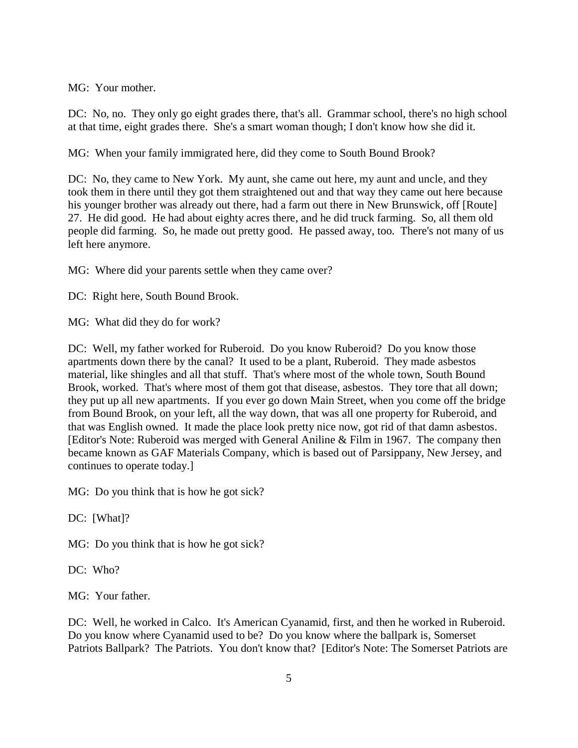MG: Your mother.

DC: No, no. They only go eight grades there, that's all. Grammar school, there's no high school at that time, eight grades there. She's a smart woman though; I don't know how she did it.

MG: When your family immigrated here, did they come to South Bound Brook?

DC: No, they came to New York. My aunt, she came out here, my aunt and uncle, and they took them in there until they got them straightened out and that way they came out here because his younger brother was already out there, had a farm out there in New Brunswick, off [Route] 27. He did good. He had about eighty acres there, and he did truck farming. So, all them old people did farming. So, he made out pretty good. He passed away, too. There's not many of us left here anymore.

MG: Where did your parents settle when they came over?

DC: Right here, South Bound Brook.

MG: What did they do for work?

DC: Well, my father worked for Ruberoid. Do you know Ruberoid? Do you know those apartments down there by the canal? It used to be a plant, Ruberoid. They made asbestos material, like shingles and all that stuff. That's where most of the whole town, South Bound Brook, worked. That's where most of them got that disease, asbestos. They tore that all down; they put up all new apartments. If you ever go down Main Street, when you come off the bridge from Bound Brook, on your left, all the way down, that was all one property for Ruberoid, and that was English owned. It made the place look pretty nice now, got rid of that damn asbestos. [Editor's Note: Ruberoid was merged with General Aniline & Film in 1967. The company then became known as GAF Materials Company, which is based out of Parsippany, New Jersey, and continues to operate today.]

MG: Do you think that is how he got sick?

DC: [What]?

MG: Do you think that is how he got sick?

DC: Who?

MG: Your father.

DC: Well, he worked in Calco. It's American Cyanamid, first, and then he worked in Ruberoid. Do you know where Cyanamid used to be? Do you know where the ballpark is, Somerset Patriots Ballpark? The Patriots. You don't know that? [Editor's Note: The Somerset Patriots are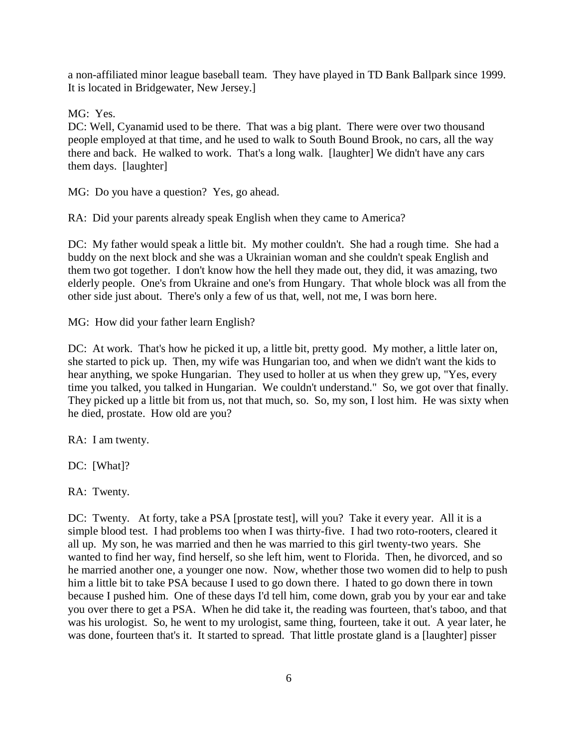a non-affiliated minor league baseball team. They have played in TD Bank Ballpark since 1999. It is located in Bridgewater, New Jersey.]

MG: Yes.

DC: Well, Cyanamid used to be there. That was a big plant. There were over two thousand people employed at that time, and he used to walk to South Bound Brook, no cars, all the way there and back. He walked to work. That's a long walk. [laughter] We didn't have any cars them days. [laughter]

MG: Do you have a question? Yes, go ahead.

RA: Did your parents already speak English when they came to America?

DC: My father would speak a little bit. My mother couldn't. She had a rough time. She had a buddy on the next block and she was a Ukrainian woman and she couldn't speak English and them two got together. I don't know how the hell they made out, they did, it was amazing, two elderly people. One's from Ukraine and one's from Hungary. That whole block was all from the other side just about. There's only a few of us that, well, not me, I was born here.

MG: How did your father learn English?

DC: At work. That's how he picked it up, a little bit, pretty good. My mother, a little later on, she started to pick up. Then, my wife was Hungarian too, and when we didn't want the kids to hear anything, we spoke Hungarian. They used to holler at us when they grew up, "Yes, every time you talked, you talked in Hungarian. We couldn't understand." So, we got over that finally. They picked up a little bit from us, not that much, so. So, my son, I lost him. He was sixty when he died, prostate. How old are you?

RA: I am twenty.

DC: [What]?

RA: Twenty.

DC: Twenty. At forty, take a PSA [prostate test], will you? Take it every year. All it is a simple blood test. I had problems too when I was thirty-five. I had two roto-rooters, cleared it all up. My son, he was married and then he was married to this girl twenty-two years. She wanted to find her way, find herself, so she left him, went to Florida. Then, he divorced, and so he married another one, a younger one now. Now, whether those two women did to help to push him a little bit to take PSA because I used to go down there. I hated to go down there in town because I pushed him. One of these days I'd tell him, come down, grab you by your ear and take you over there to get a PSA. When he did take it, the reading was fourteen, that's taboo, and that was his urologist. So, he went to my urologist, same thing, fourteen, take it out. A year later, he was done, fourteen that's it. It started to spread. That little prostate gland is a [laughter] pisser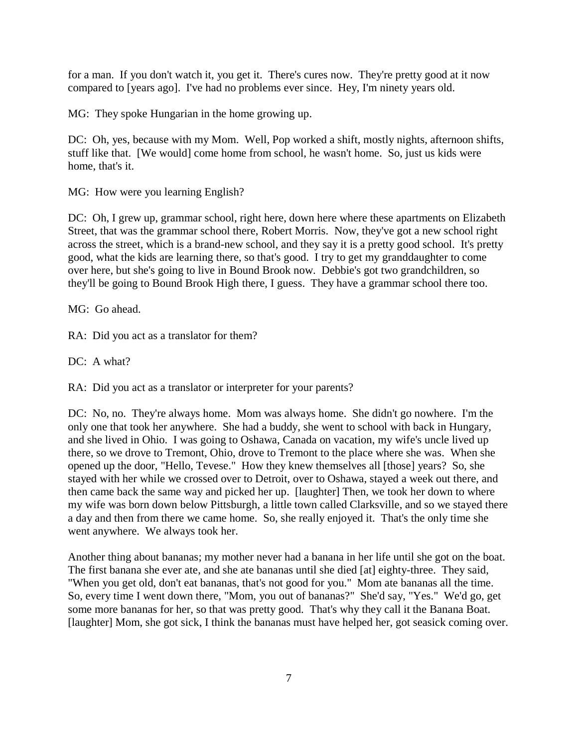for a man. If you don't watch it, you get it. There's cures now. They're pretty good at it now compared to [years ago]. I've had no problems ever since. Hey, I'm ninety years old.

MG: They spoke Hungarian in the home growing up.

DC: Oh, yes, because with my Mom. Well, Pop worked a shift, mostly nights, afternoon shifts, stuff like that. [We would] come home from school, he wasn't home. So, just us kids were home, that's it.

MG: How were you learning English?

DC: Oh, I grew up, grammar school, right here, down here where these apartments on Elizabeth Street, that was the grammar school there, Robert Morris. Now, they've got a new school right across the street, which is a brand-new school, and they say it is a pretty good school. It's pretty good, what the kids are learning there, so that's good. I try to get my granddaughter to come over here, but she's going to live in Bound Brook now. Debbie's got two grandchildren, so they'll be going to Bound Brook High there, I guess. They have a grammar school there too.

MG: Go ahead.

RA: Did you act as a translator for them?

DC: A what?

RA: Did you act as a translator or interpreter for your parents?

DC: No, no. They're always home. Mom was always home. She didn't go nowhere. I'm the only one that took her anywhere. She had a buddy, she went to school with back in Hungary, and she lived in Ohio. I was going to Oshawa, Canada on vacation, my wife's uncle lived up there, so we drove to Tremont, Ohio, drove to Tremont to the place where she was. When she opened up the door, "Hello, Tevese." How they knew themselves all [those] years? So, she stayed with her while we crossed over to Detroit, over to Oshawa, stayed a week out there, and then came back the same way and picked her up. [laughter] Then, we took her down to where my wife was born down below Pittsburgh, a little town called Clarksville, and so we stayed there a day and then from there we came home. So, she really enjoyed it. That's the only time she went anywhere. We always took her.

Another thing about bananas; my mother never had a banana in her life until she got on the boat. The first banana she ever ate, and she ate bananas until she died [at] eighty-three. They said, "When you get old, don't eat bananas, that's not good for you." Mom ate bananas all the time. So, every time I went down there, "Mom, you out of bananas?" She'd say, "Yes." We'd go, get some more bananas for her, so that was pretty good. That's why they call it the Banana Boat. [laughter] Mom, she got sick, I think the bananas must have helped her, got seasick coming over.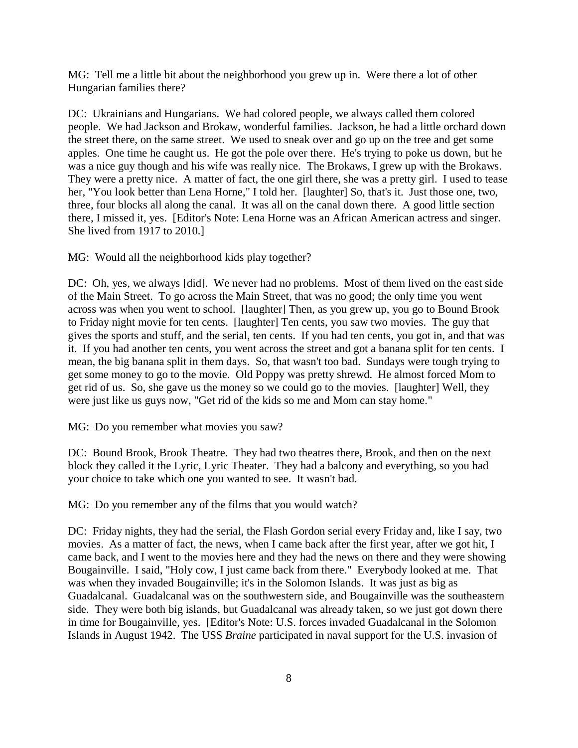MG: Tell me a little bit about the neighborhood you grew up in. Were there a lot of other Hungarian families there?

DC: Ukrainians and Hungarians. We had colored people, we always called them colored people. We had Jackson and Brokaw, wonderful families. Jackson, he had a little orchard down the street there, on the same street. We used to sneak over and go up on the tree and get some apples. One time he caught us. He got the pole over there. He's trying to poke us down, but he was a nice guy though and his wife was really nice. The Brokaws, I grew up with the Brokaws. They were a pretty nice. A matter of fact, the one girl there, she was a pretty girl. I used to tease her, "You look better than Lena Horne," I told her. [laughter] So, that's it. Just those one, two, three, four blocks all along the canal. It was all on the canal down there. A good little section there, I missed it, yes. [Editor's Note: Lena Horne was an African American actress and singer. She lived from 1917 to 2010.]

MG: Would all the neighborhood kids play together?

DC: Oh, yes, we always [did]. We never had no problems. Most of them lived on the east side of the Main Street. To go across the Main Street, that was no good; the only time you went across was when you went to school. [laughter] Then, as you grew up, you go to Bound Brook to Friday night movie for ten cents. [laughter] Ten cents, you saw two movies. The guy that gives the sports and stuff, and the serial, ten cents. If you had ten cents, you got in, and that was it. If you had another ten cents, you went across the street and got a banana split for ten cents. I mean, the big banana split in them days. So, that wasn't too bad. Sundays were tough trying to get some money to go to the movie. Old Poppy was pretty shrewd. He almost forced Mom to get rid of us. So, she gave us the money so we could go to the movies. [laughter] Well, they were just like us guys now, "Get rid of the kids so me and Mom can stay home."

MG: Do you remember what movies you saw?

DC: Bound Brook, Brook Theatre. They had two theatres there, Brook, and then on the next block they called it the Lyric, Lyric Theater. They had a balcony and everything, so you had your choice to take which one you wanted to see. It wasn't bad.

MG: Do you remember any of the films that you would watch?

DC: Friday nights, they had the serial, the Flash Gordon serial every Friday and, like I say, two movies. As a matter of fact, the news, when I came back after the first year, after we got hit, I came back, and I went to the movies here and they had the news on there and they were showing Bougainville. I said, "Holy cow, I just came back from there." Everybody looked at me. That was when they invaded Bougainville; it's in the Solomon Islands. It was just as big as Guadalcanal. Guadalcanal was on the southwestern side, and Bougainville was the southeastern side. They were both big islands, but Guadalcanal was already taken, so we just got down there in time for Bougainville, yes. [Editor's Note: U.S. forces invaded Guadalcanal in the Solomon Islands in August 1942. The USS *Braine* participated in naval support for the U.S. invasion of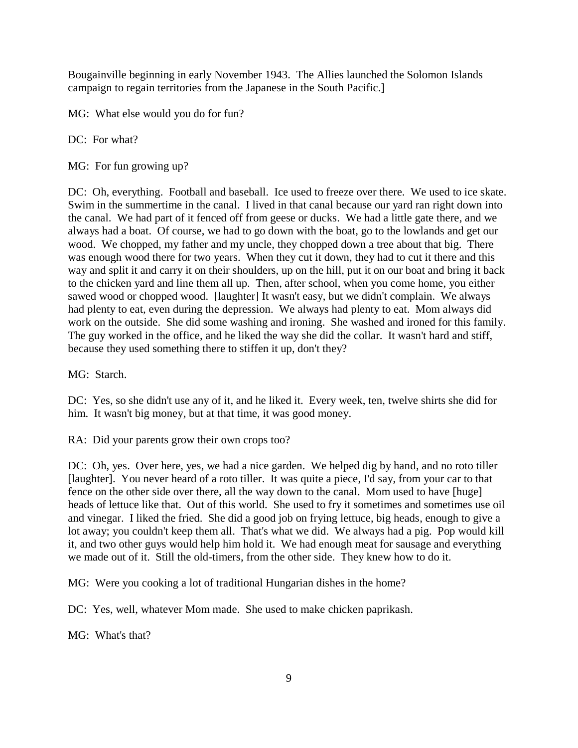Bougainville beginning in early November 1943. The Allies launched the Solomon Islands campaign to regain territories from the Japanese in the South Pacific.]

MG: What else would you do for fun?

DC: For what?

MG: For fun growing up?

DC: Oh, everything. Football and baseball. Ice used to freeze over there. We used to ice skate. Swim in the summertime in the canal. I lived in that canal because our yard ran right down into the canal. We had part of it fenced off from geese or ducks. We had a little gate there, and we always had a boat. Of course, we had to go down with the boat, go to the lowlands and get our wood. We chopped, my father and my uncle, they chopped down a tree about that big. There was enough wood there for two years. When they cut it down, they had to cut it there and this way and split it and carry it on their shoulders, up on the hill, put it on our boat and bring it back to the chicken yard and line them all up. Then, after school, when you come home, you either sawed wood or chopped wood. [laughter] It wasn't easy, but we didn't complain. We always had plenty to eat, even during the depression. We always had plenty to eat. Mom always did work on the outside. She did some washing and ironing. She washed and ironed for this family. The guy worked in the office, and he liked the way she did the collar. It wasn't hard and stiff, because they used something there to stiffen it up, don't they?

MG: Starch.

DC: Yes, so she didn't use any of it, and he liked it. Every week, ten, twelve shirts she did for him. It wasn't big money, but at that time, it was good money.

RA: Did your parents grow their own crops too?

DC: Oh, yes. Over here, yes, we had a nice garden. We helped dig by hand, and no roto tiller [laughter]. You never heard of a roto tiller. It was quite a piece, I'd say, from your car to that fence on the other side over there, all the way down to the canal. Mom used to have [huge] heads of lettuce like that. Out of this world. She used to fry it sometimes and sometimes use oil and vinegar. I liked the fried. She did a good job on frying lettuce, big heads, enough to give a lot away; you couldn't keep them all. That's what we did. We always had a pig. Pop would kill it, and two other guys would help him hold it. We had enough meat for sausage and everything we made out of it. Still the old-timers, from the other side. They knew how to do it.

MG: Were you cooking a lot of traditional Hungarian dishes in the home?

DC: Yes, well, whatever Mom made. She used to make chicken paprikash.

MG: What's that?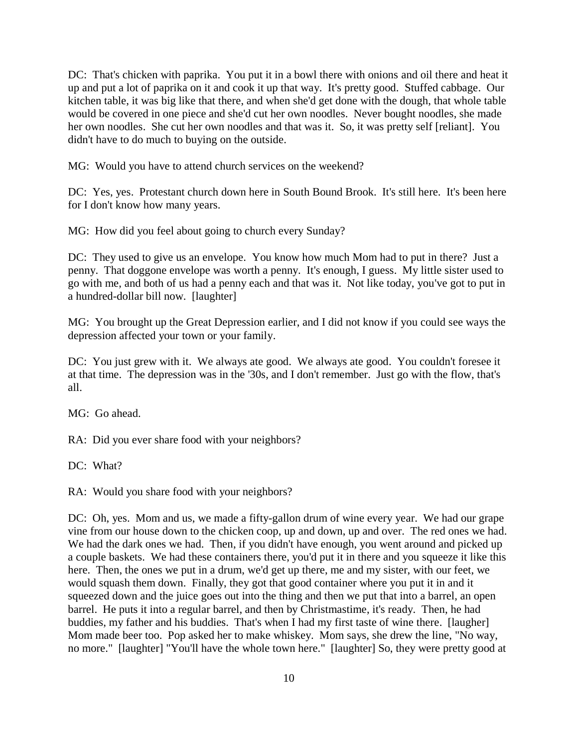DC: That's chicken with paprika. You put it in a bowl there with onions and oil there and heat it up and put a lot of paprika on it and cook it up that way. It's pretty good. Stuffed cabbage. Our kitchen table, it was big like that there, and when she'd get done with the dough, that whole table would be covered in one piece and she'd cut her own noodles. Never bought noodles, she made her own noodles. She cut her own noodles and that was it. So, it was pretty self [reliant]. You didn't have to do much to buying on the outside.

MG: Would you have to attend church services on the weekend?

DC: Yes, yes. Protestant church down here in South Bound Brook. It's still here. It's been here for I don't know how many years.

MG: How did you feel about going to church every Sunday?

DC: They used to give us an envelope. You know how much Mom had to put in there? Just a penny. That doggone envelope was worth a penny. It's enough, I guess. My little sister used to go with me, and both of us had a penny each and that was it. Not like today, you've got to put in a hundred-dollar bill now. [laughter]

MG: You brought up the Great Depression earlier, and I did not know if you could see ways the depression affected your town or your family.

DC: You just grew with it. We always ate good. We always ate good. You couldn't foresee it at that time. The depression was in the '30s, and I don't remember. Just go with the flow, that's all.

MG: Go ahead.

RA: Did you ever share food with your neighbors?

DC: What?

RA: Would you share food with your neighbors?

DC: Oh, yes. Mom and us, we made a fifty-gallon drum of wine every year. We had our grape vine from our house down to the chicken coop, up and down, up and over. The red ones we had. We had the dark ones we had. Then, if you didn't have enough, you went around and picked up a couple baskets. We had these containers there, you'd put it in there and you squeeze it like this here. Then, the ones we put in a drum, we'd get up there, me and my sister, with our feet, we would squash them down. Finally, they got that good container where you put it in and it squeezed down and the juice goes out into the thing and then we put that into a barrel, an open barrel. He puts it into a regular barrel, and then by Christmastime, it's ready. Then, he had buddies, my father and his buddies. That's when I had my first taste of wine there. [laugher] Mom made beer too. Pop asked her to make whiskey. Mom says, she drew the line, "No way, no more." [laughter] "You'll have the whole town here." [laughter] So, they were pretty good at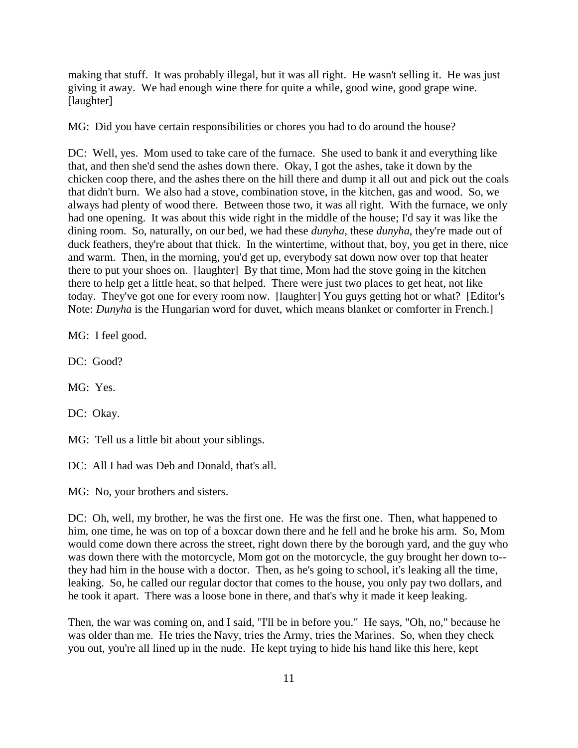making that stuff. It was probably illegal, but it was all right. He wasn't selling it. He was just giving it away. We had enough wine there for quite a while, good wine, good grape wine. [laughter]

MG: Did you have certain responsibilities or chores you had to do around the house?

DC: Well, yes. Mom used to take care of the furnace. She used to bank it and everything like that, and then she'd send the ashes down there. Okay, I got the ashes, take it down by the chicken coop there, and the ashes there on the hill there and dump it all out and pick out the coals that didn't burn. We also had a stove, combination stove, in the kitchen, gas and wood. So, we always had plenty of wood there. Between those two, it was all right. With the furnace, we only had one opening. It was about this wide right in the middle of the house; I'd say it was like the dining room. So, naturally, on our bed, we had these *dunyha*, these *dunyha*, they're made out of duck feathers, they're about that thick. In the wintertime, without that, boy, you get in there, nice and warm. Then, in the morning, you'd get up, everybody sat down now over top that heater there to put your shoes on. [laughter] By that time, Mom had the stove going in the kitchen there to help get a little heat, so that helped. There were just two places to get heat, not like today. They've got one for every room now. [laughter] You guys getting hot or what? [Editor's Note: *Dunyha* is the Hungarian word for duvet, which means blanket or comforter in French.]

MG: I feel good.

DC: Good?

MG: Yes.

DC: Okay.

MG: Tell us a little bit about your siblings.

DC: All I had was Deb and Donald, that's all.

MG: No, your brothers and sisters.

DC: Oh, well, my brother, he was the first one. He was the first one. Then, what happened to him, one time, he was on top of a boxcar down there and he fell and he broke his arm. So, Mom would come down there across the street, right down there by the borough yard, and the guy who was down there with the motorcycle, Mom got on the motorcycle, the guy brought her down to- they had him in the house with a doctor. Then, as he's going to school, it's leaking all the time, leaking. So, he called our regular doctor that comes to the house, you only pay two dollars, and he took it apart. There was a loose bone in there, and that's why it made it keep leaking.

Then, the war was coming on, and I said, "I'll be in before you." He says, "Oh, no," because he was older than me. He tries the Navy, tries the Army, tries the Marines. So, when they check you out, you're all lined up in the nude. He kept trying to hide his hand like this here, kept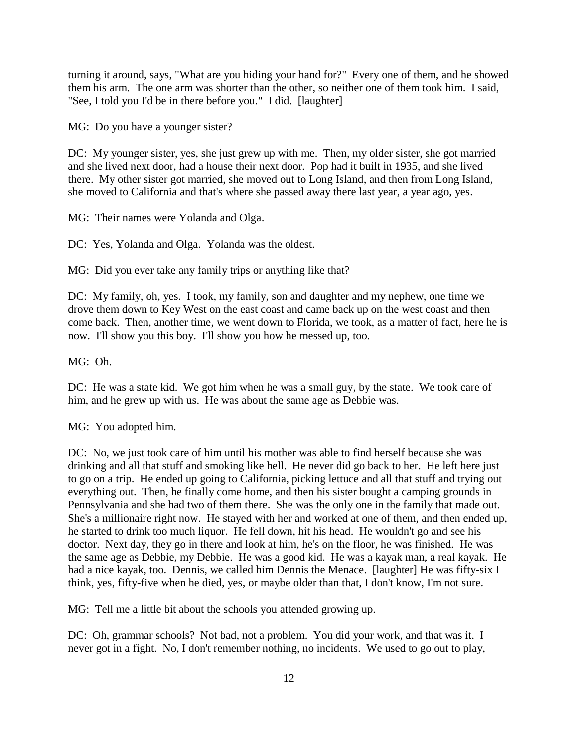turning it around, says, "What are you hiding your hand for?" Every one of them, and he showed them his arm. The one arm was shorter than the other, so neither one of them took him. I said, "See, I told you I'd be in there before you." I did. [laughter]

MG: Do you have a younger sister?

DC: My younger sister, yes, she just grew up with me. Then, my older sister, she got married and she lived next door, had a house their next door. Pop had it built in 1935, and she lived there. My other sister got married, she moved out to Long Island, and then from Long Island, she moved to California and that's where she passed away there last year, a year ago, yes.

MG: Their names were Yolanda and Olga.

DC: Yes, Yolanda and Olga. Yolanda was the oldest.

MG: Did you ever take any family trips or anything like that?

DC: My family, oh, yes. I took, my family, son and daughter and my nephew, one time we drove them down to Key West on the east coast and came back up on the west coast and then come back. Then, another time, we went down to Florida, we took, as a matter of fact, here he is now. I'll show you this boy. I'll show you how he messed up, too.

MG: Oh.

DC: He was a state kid. We got him when he was a small guy, by the state. We took care of him, and he grew up with us. He was about the same age as Debbie was.

MG: You adopted him.

DC: No, we just took care of him until his mother was able to find herself because she was drinking and all that stuff and smoking like hell. He never did go back to her. He left here just to go on a trip. He ended up going to California, picking lettuce and all that stuff and trying out everything out. Then, he finally come home, and then his sister bought a camping grounds in Pennsylvania and she had two of them there. She was the only one in the family that made out. She's a millionaire right now. He stayed with her and worked at one of them, and then ended up, he started to drink too much liquor. He fell down, hit his head. He wouldn't go and see his doctor. Next day, they go in there and look at him, he's on the floor, he was finished. He was the same age as Debbie, my Debbie. He was a good kid. He was a kayak man, a real kayak. He had a nice kayak, too. Dennis, we called him Dennis the Menace. [laughter] He was fifty-six I think, yes, fifty-five when he died, yes, or maybe older than that, I don't know, I'm not sure.

MG: Tell me a little bit about the schools you attended growing up.

DC: Oh, grammar schools? Not bad, not a problem. You did your work, and that was it. I never got in a fight. No, I don't remember nothing, no incidents. We used to go out to play,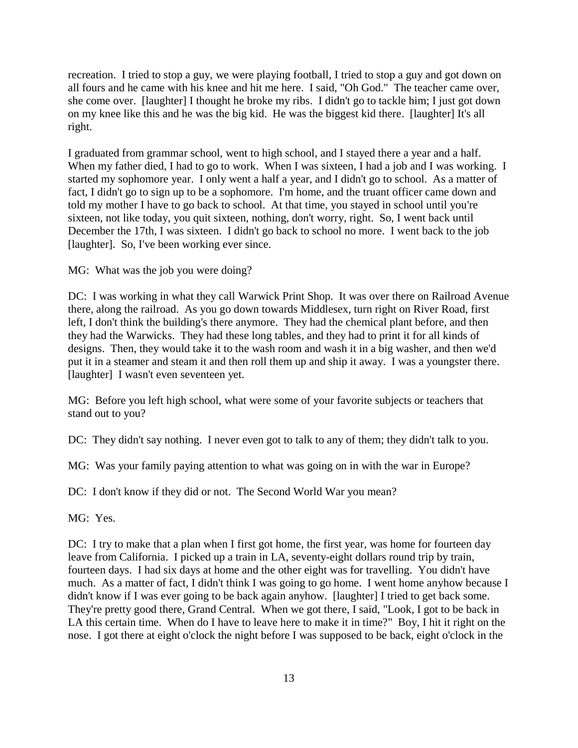recreation. I tried to stop a guy, we were playing football, I tried to stop a guy and got down on all fours and he came with his knee and hit me here. I said, "Oh God." The teacher came over, she come over. [laughter] I thought he broke my ribs. I didn't go to tackle him; I just got down on my knee like this and he was the big kid. He was the biggest kid there. [laughter] It's all right.

I graduated from grammar school, went to high school, and I stayed there a year and a half. When my father died, I had to go to work. When I was sixteen, I had a job and I was working. I started my sophomore year. I only went a half a year, and I didn't go to school. As a matter of fact, I didn't go to sign up to be a sophomore. I'm home, and the truant officer came down and told my mother I have to go back to school. At that time, you stayed in school until you're sixteen, not like today, you quit sixteen, nothing, don't worry, right. So, I went back until December the 17th, I was sixteen. I didn't go back to school no more. I went back to the job [laughter]. So, I've been working ever since.

MG: What was the job you were doing?

DC: I was working in what they call Warwick Print Shop. It was over there on Railroad Avenue there, along the railroad. As you go down towards Middlesex, turn right on River Road, first left, I don't think the building's there anymore. They had the chemical plant before, and then they had the Warwicks. They had these long tables, and they had to print it for all kinds of designs. Then, they would take it to the wash room and wash it in a big washer, and then we'd put it in a steamer and steam it and then roll them up and ship it away. I was a youngster there. [laughter] I wasn't even seventeen yet.

MG: Before you left high school, what were some of your favorite subjects or teachers that stand out to you?

DC: They didn't say nothing. I never even got to talk to any of them; they didn't talk to you.

MG: Was your family paying attention to what was going on in with the war in Europe?

DC: I don't know if they did or not. The Second World War you mean?

MG: Yes.

DC: I try to make that a plan when I first got home, the first year, was home for fourteen day leave from California. I picked up a train in LA, seventy-eight dollars round trip by train, fourteen days. I had six days at home and the other eight was for travelling. You didn't have much. As a matter of fact, I didn't think I was going to go home. I went home anyhow because I didn't know if I was ever going to be back again anyhow. [laughter] I tried to get back some. They're pretty good there, Grand Central. When we got there, I said, "Look, I got to be back in LA this certain time. When do I have to leave here to make it in time?" Boy, I hit it right on the nose. I got there at eight o'clock the night before I was supposed to be back, eight o'clock in the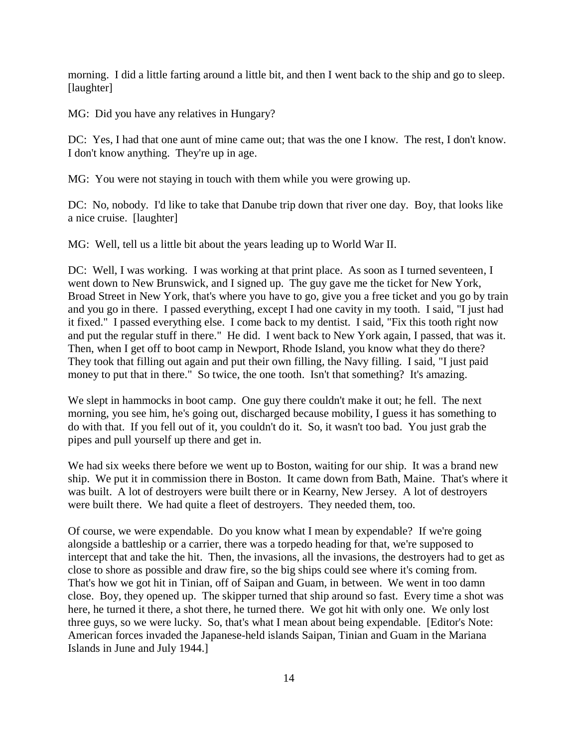morning. I did a little farting around a little bit, and then I went back to the ship and go to sleep. [laughter]

MG: Did you have any relatives in Hungary?

DC: Yes, I had that one aunt of mine came out; that was the one I know. The rest, I don't know. I don't know anything. They're up in age.

MG: You were not staying in touch with them while you were growing up.

DC: No, nobody. I'd like to take that Danube trip down that river one day. Boy, that looks like a nice cruise. [laughter]

MG: Well, tell us a little bit about the years leading up to World War II.

DC: Well, I was working. I was working at that print place. As soon as I turned seventeen, I went down to New Brunswick, and I signed up. The guy gave me the ticket for New York, Broad Street in New York, that's where you have to go, give you a free ticket and you go by train and you go in there. I passed everything, except I had one cavity in my tooth. I said, "I just had it fixed." I passed everything else. I come back to my dentist. I said, "Fix this tooth right now and put the regular stuff in there." He did. I went back to New York again, I passed, that was it. Then, when I get off to boot camp in Newport, Rhode Island, you know what they do there? They took that filling out again and put their own filling, the Navy filling. I said, "I just paid money to put that in there." So twice, the one tooth. Isn't that something? It's amazing.

We slept in hammocks in boot camp. One guy there couldn't make it out; he fell. The next morning, you see him, he's going out, discharged because mobility, I guess it has something to do with that. If you fell out of it, you couldn't do it. So, it wasn't too bad. You just grab the pipes and pull yourself up there and get in.

We had six weeks there before we went up to Boston, waiting for our ship. It was a brand new ship. We put it in commission there in Boston. It came down from Bath, Maine. That's where it was built. A lot of destroyers were built there or in Kearny, New Jersey. A lot of destroyers were built there. We had quite a fleet of destroyers. They needed them, too.

Of course, we were expendable. Do you know what I mean by expendable? If we're going alongside a battleship or a carrier, there was a torpedo heading for that, we're supposed to intercept that and take the hit. Then, the invasions, all the invasions, the destroyers had to get as close to shore as possible and draw fire, so the big ships could see where it's coming from. That's how we got hit in Tinian, off of Saipan and Guam, in between. We went in too damn close. Boy, they opened up. The skipper turned that ship around so fast. Every time a shot was here, he turned it there, a shot there, he turned there. We got hit with only one. We only lost three guys, so we were lucky. So, that's what I mean about being expendable. [Editor's Note: American forces invaded the Japanese-held islands Saipan, Tinian and Guam in the Mariana Islands in June and July 1944.]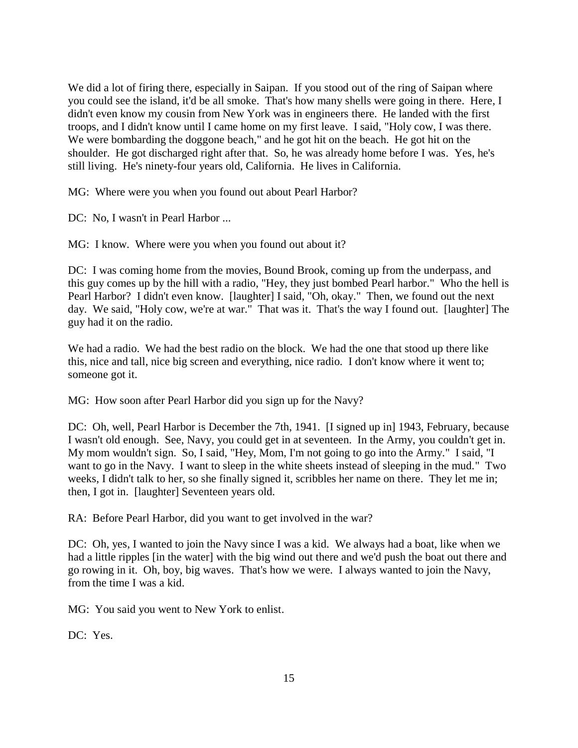We did a lot of firing there, especially in Saipan. If you stood out of the ring of Saipan where you could see the island, it'd be all smoke. That's how many shells were going in there. Here, I didn't even know my cousin from New York was in engineers there. He landed with the first troops, and I didn't know until I came home on my first leave. I said, "Holy cow, I was there. We were bombarding the doggone beach," and he got hit on the beach. He got hit on the shoulder. He got discharged right after that. So, he was already home before I was. Yes, he's still living. He's ninety-four years old, California. He lives in California.

MG: Where were you when you found out about Pearl Harbor?

DC: No, I wasn't in Pearl Harbor ...

MG: I know. Where were you when you found out about it?

DC: I was coming home from the movies, Bound Brook, coming up from the underpass, and this guy comes up by the hill with a radio, "Hey, they just bombed Pearl harbor." Who the hell is Pearl Harbor? I didn't even know. [laughter] I said, "Oh, okay." Then, we found out the next day. We said, "Holy cow, we're at war." That was it. That's the way I found out. [laughter] The guy had it on the radio.

We had a radio. We had the best radio on the block. We had the one that stood up there like this, nice and tall, nice big screen and everything, nice radio. I don't know where it went to; someone got it.

MG: How soon after Pearl Harbor did you sign up for the Navy?

DC: Oh, well, Pearl Harbor is December the 7th, 1941. [I signed up in] 1943, February, because I wasn't old enough. See, Navy, you could get in at seventeen. In the Army, you couldn't get in. My mom wouldn't sign. So, I said, "Hey, Mom, I'm not going to go into the Army." I said, "I want to go in the Navy. I want to sleep in the white sheets instead of sleeping in the mud." Two weeks, I didn't talk to her, so she finally signed it, scribbles her name on there. They let me in; then, I got in. [laughter] Seventeen years old.

RA: Before Pearl Harbor, did you want to get involved in the war?

DC: Oh, yes, I wanted to join the Navy since I was a kid. We always had a boat, like when we had a little ripples [in the water] with the big wind out there and we'd push the boat out there and go rowing in it. Oh, boy, big waves. That's how we were. I always wanted to join the Navy, from the time I was a kid.

MG: You said you went to New York to enlist.

DC: Yes.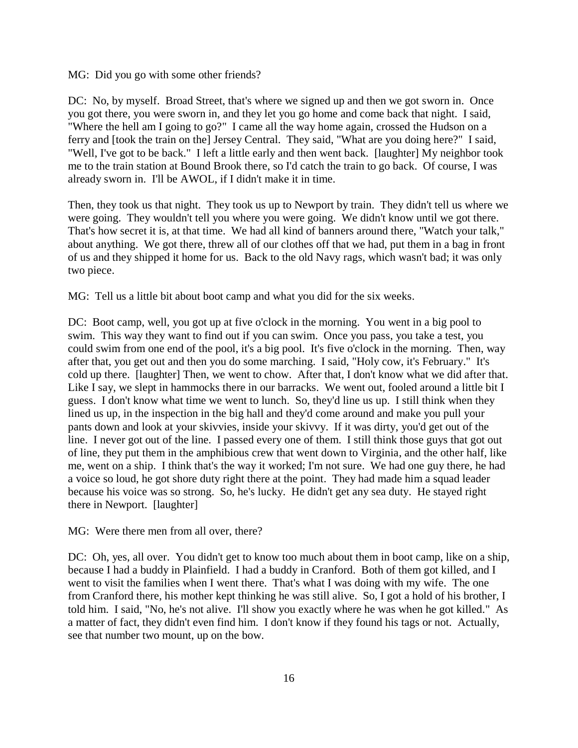MG: Did you go with some other friends?

DC: No, by myself. Broad Street, that's where we signed up and then we got sworn in. Once you got there, you were sworn in, and they let you go home and come back that night. I said, "Where the hell am I going to go?" I came all the way home again, crossed the Hudson on a ferry and [took the train on the] Jersey Central. They said, "What are you doing here?" I said, "Well, I've got to be back." I left a little early and then went back. [laughter] My neighbor took me to the train station at Bound Brook there, so I'd catch the train to go back. Of course, I was already sworn in. I'll be AWOL, if I didn't make it in time.

Then, they took us that night. They took us up to Newport by train. They didn't tell us where we were going. They wouldn't tell you where you were going. We didn't know until we got there. That's how secret it is, at that time. We had all kind of banners around there, "Watch your talk," about anything. We got there, threw all of our clothes off that we had, put them in a bag in front of us and they shipped it home for us. Back to the old Navy rags, which wasn't bad; it was only two piece.

MG: Tell us a little bit about boot camp and what you did for the six weeks.

DC: Boot camp, well, you got up at five o'clock in the morning. You went in a big pool to swim. This way they want to find out if you can swim. Once you pass, you take a test, you could swim from one end of the pool, it's a big pool. It's five o'clock in the morning. Then, way after that, you get out and then you do some marching. I said, "Holy cow, it's February." It's cold up there. [laughter] Then, we went to chow. After that, I don't know what we did after that. Like I say, we slept in hammocks there in our barracks. We went out, fooled around a little bit I guess. I don't know what time we went to lunch. So, they'd line us up. I still think when they lined us up, in the inspection in the big hall and they'd come around and make you pull your pants down and look at your skivvies, inside your skivvy. If it was dirty, you'd get out of the line. I never got out of the line. I passed every one of them. I still think those guys that got out of line, they put them in the amphibious crew that went down to Virginia, and the other half, like me, went on a ship. I think that's the way it worked; I'm not sure. We had one guy there, he had a voice so loud, he got shore duty right there at the point. They had made him a squad leader because his voice was so strong. So, he's lucky. He didn't get any sea duty. He stayed right there in Newport. [laughter]

MG: Were there men from all over, there?

DC: Oh, yes, all over. You didn't get to know too much about them in boot camp, like on a ship, because I had a buddy in Plainfield. I had a buddy in Cranford. Both of them got killed, and I went to visit the families when I went there. That's what I was doing with my wife. The one from Cranford there, his mother kept thinking he was still alive. So, I got a hold of his brother, I told him. I said, "No, he's not alive. I'll show you exactly where he was when he got killed." As a matter of fact, they didn't even find him. I don't know if they found his tags or not. Actually, see that number two mount, up on the bow.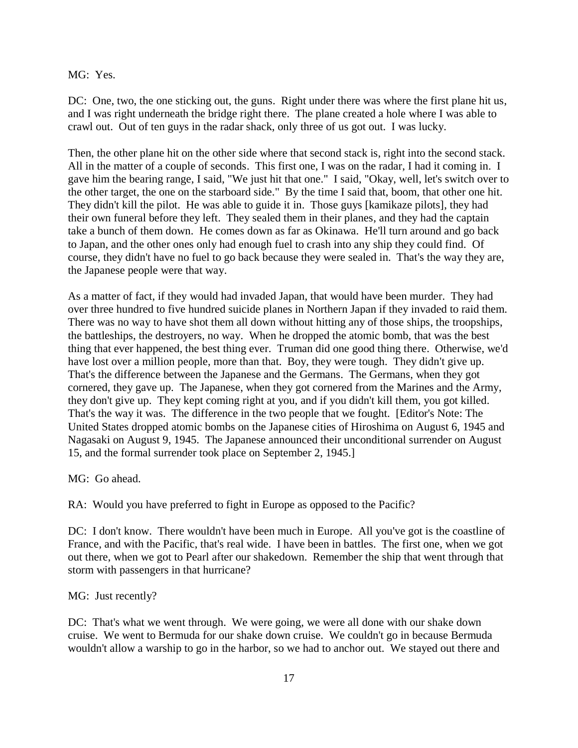MG: Yes.

DC: One, two, the one sticking out, the guns. Right under there was where the first plane hit us, and I was right underneath the bridge right there. The plane created a hole where I was able to crawl out. Out of ten guys in the radar shack, only three of us got out. I was lucky.

Then, the other plane hit on the other side where that second stack is, right into the second stack. All in the matter of a couple of seconds. This first one, I was on the radar, I had it coming in. I gave him the bearing range, I said, "We just hit that one." I said, "Okay, well, let's switch over to the other target, the one on the starboard side." By the time I said that, boom, that other one hit. They didn't kill the pilot. He was able to guide it in. Those guys [kamikaze pilots], they had their own funeral before they left. They sealed them in their planes, and they had the captain take a bunch of them down. He comes down as far as Okinawa. He'll turn around and go back to Japan, and the other ones only had enough fuel to crash into any ship they could find. Of course, they didn't have no fuel to go back because they were sealed in. That's the way they are, the Japanese people were that way.

As a matter of fact, if they would had invaded Japan, that would have been murder. They had over three hundred to five hundred suicide planes in Northern Japan if they invaded to raid them. There was no way to have shot them all down without hitting any of those ships, the troopships, the battleships, the destroyers, no way. When he dropped the atomic bomb, that was the best thing that ever happened, the best thing ever. Truman did one good thing there. Otherwise, we'd have lost over a million people, more than that. Boy, they were tough. They didn't give up. That's the difference between the Japanese and the Germans. The Germans, when they got cornered, they gave up. The Japanese, when they got cornered from the Marines and the Army, they don't give up. They kept coming right at you, and if you didn't kill them, you got killed. That's the way it was. The difference in the two people that we fought. [Editor's Note: The United States dropped atomic bombs on the Japanese cities of Hiroshima on August 6, 1945 and Nagasaki on August 9, 1945. The Japanese announced their unconditional surrender on August 15, and the formal surrender took place on September 2, 1945.]

MG: Go ahead.

RA: Would you have preferred to fight in Europe as opposed to the Pacific?

DC: I don't know. There wouldn't have been much in Europe. All you've got is the coastline of France, and with the Pacific, that's real wide. I have been in battles. The first one, when we got out there, when we got to Pearl after our shakedown. Remember the ship that went through that storm with passengers in that hurricane?

MG: Just recently?

DC: That's what we went through. We were going, we were all done with our shake down cruise. We went to Bermuda for our shake down cruise. We couldn't go in because Bermuda wouldn't allow a warship to go in the harbor, so we had to anchor out. We stayed out there and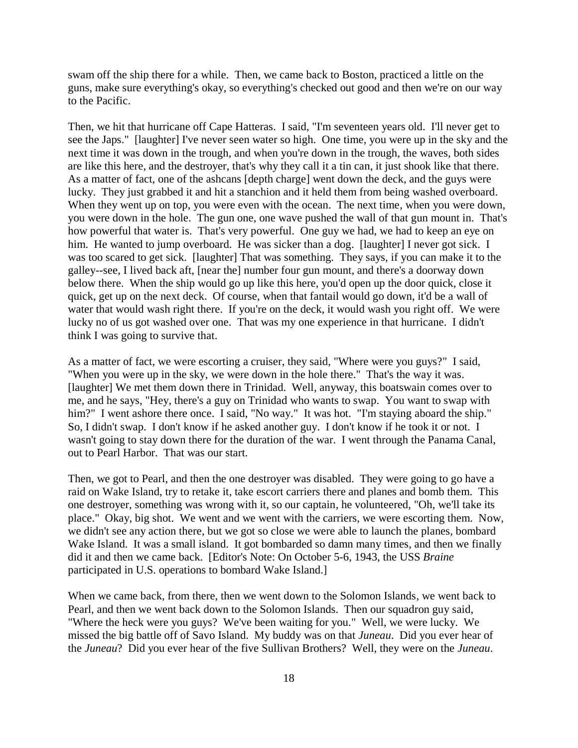swam off the ship there for a while. Then, we came back to Boston, practiced a little on the guns, make sure everything's okay, so everything's checked out good and then we're on our way to the Pacific.

Then, we hit that hurricane off Cape Hatteras. I said, "I'm seventeen years old. I'll never get to see the Japs." [laughter] I've never seen water so high. One time, you were up in the sky and the next time it was down in the trough, and when you're down in the trough, the waves, both sides are like this here, and the destroyer, that's why they call it a tin can, it just shook like that there. As a matter of fact, one of the ashcans [depth charge] went down the deck, and the guys were lucky. They just grabbed it and hit a stanchion and it held them from being washed overboard. When they went up on top, you were even with the ocean. The next time, when you were down, you were down in the hole. The gun one, one wave pushed the wall of that gun mount in. That's how powerful that water is. That's very powerful. One guy we had, we had to keep an eye on him. He wanted to jump overboard. He was sicker than a dog. [laughter] I never got sick. I was too scared to get sick. [laughter] That was something. They says, if you can make it to the galley--see, I lived back aft, [near the] number four gun mount, and there's a doorway down below there. When the ship would go up like this here, you'd open up the door quick, close it quick, get up on the next deck. Of course, when that fantail would go down, it'd be a wall of water that would wash right there. If you're on the deck, it would wash you right off. We were lucky no of us got washed over one. That was my one experience in that hurricane. I didn't think I was going to survive that.

As a matter of fact, we were escorting a cruiser, they said, "Where were you guys?" I said, "When you were up in the sky, we were down in the hole there." That's the way it was. [laughter] We met them down there in Trinidad. Well, anyway, this boatswain comes over to me, and he says, "Hey, there's a guy on Trinidad who wants to swap. You want to swap with him?" I went ashore there once. I said, "No way." It was hot. "I'm staying aboard the ship." So, I didn't swap. I don't know if he asked another guy. I don't know if he took it or not. I wasn't going to stay down there for the duration of the war. I went through the Panama Canal, out to Pearl Harbor. That was our start.

Then, we got to Pearl, and then the one destroyer was disabled. They were going to go have a raid on Wake Island, try to retake it, take escort carriers there and planes and bomb them. This one destroyer, something was wrong with it, so our captain, he volunteered, "Oh, we'll take its place." Okay, big shot. We went and we went with the carriers, we were escorting them. Now, we didn't see any action there, but we got so close we were able to launch the planes, bombard Wake Island. It was a small island. It got bombarded so damn many times, and then we finally did it and then we came back. [Editor's Note: On October 5-6, 1943, the USS *Braine* participated in U.S. operations to bombard Wake Island.]

When we came back, from there, then we went down to the Solomon Islands, we went back to Pearl, and then we went back down to the Solomon Islands. Then our squadron guy said, "Where the heck were you guys? We've been waiting for you." Well, we were lucky. We missed the big battle off of Savo Island. My buddy was on that *Juneau*. Did you ever hear of the *Juneau*? Did you ever hear of the five Sullivan Brothers? Well, they were on the *Juneau*.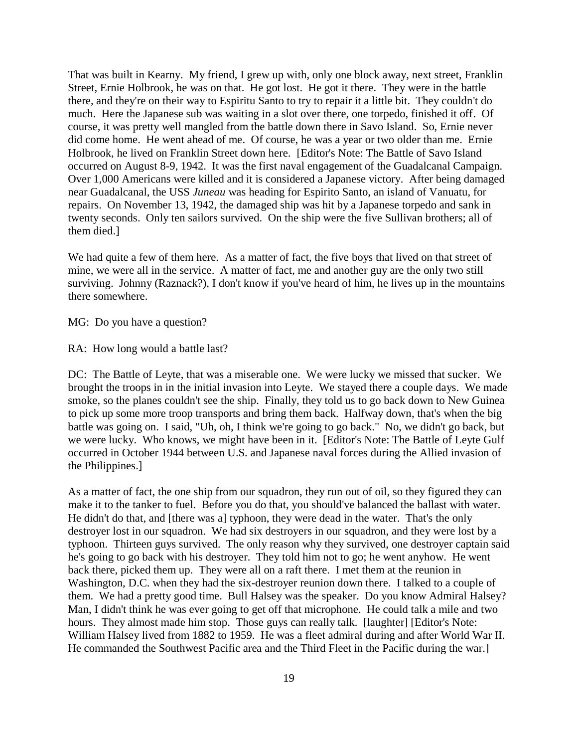That was built in Kearny. My friend, I grew up with, only one block away, next street, Franklin Street, Ernie Holbrook, he was on that. He got lost. He got it there. They were in the battle there, and they're on their way to Espiritu Santo to try to repair it a little bit. They couldn't do much. Here the Japanese sub was waiting in a slot over there, one torpedo, finished it off. Of course, it was pretty well mangled from the battle down there in Savo Island. So, Ernie never did come home. He went ahead of me. Of course, he was a year or two older than me. Ernie Holbrook, he lived on Franklin Street down here. [Editor's Note: The Battle of Savo Island occurred on August 8-9, 1942. It was the first naval engagement of the Guadalcanal Campaign. Over 1,000 Americans were killed and it is considered a Japanese victory. After being damaged near Guadalcanal, the USS *Juneau* was heading for Espirito Santo, an island of Vanuatu, for repairs. On November 13, 1942, the damaged ship was hit by a Japanese torpedo and sank in twenty seconds. Only ten sailors survived. On the ship were the five Sullivan brothers; all of them died.]

We had quite a few of them here. As a matter of fact, the five boys that lived on that street of mine, we were all in the service. A matter of fact, me and another guy are the only two still surviving. Johnny (Raznack?), I don't know if you've heard of him, he lives up in the mountains there somewhere.

MG: Do you have a question?

RA: How long would a battle last?

DC: The Battle of Leyte, that was a miserable one. We were lucky we missed that sucker. We brought the troops in in the initial invasion into Leyte. We stayed there a couple days. We made smoke, so the planes couldn't see the ship. Finally, they told us to go back down to New Guinea to pick up some more troop transports and bring them back. Halfway down, that's when the big battle was going on. I said, "Uh, oh, I think we're going to go back." No, we didn't go back, but we were lucky. Who knows, we might have been in it. [Editor's Note: The Battle of Leyte Gulf occurred in October 1944 between U.S. and Japanese naval forces during the Allied invasion of the Philippines.]

As a matter of fact, the one ship from our squadron, they run out of oil, so they figured they can make it to the tanker to fuel. Before you do that, you should've balanced the ballast with water. He didn't do that, and [there was a] typhoon, they were dead in the water. That's the only destroyer lost in our squadron. We had six destroyers in our squadron, and they were lost by a typhoon. Thirteen guys survived. The only reason why they survived, one destroyer captain said he's going to go back with his destroyer. They told him not to go; he went anyhow. He went back there, picked them up. They were all on a raft there. I met them at the reunion in Washington, D.C. when they had the six-destroyer reunion down there. I talked to a couple of them. We had a pretty good time. Bull Halsey was the speaker. Do you know Admiral Halsey? Man, I didn't think he was ever going to get off that microphone. He could talk a mile and two hours. They almost made him stop. Those guys can really talk. [laughter] [Editor's Note: William Halsey lived from 1882 to 1959. He was a fleet admiral during and after World War II. He commanded the Southwest Pacific area and the Third Fleet in the Pacific during the war.]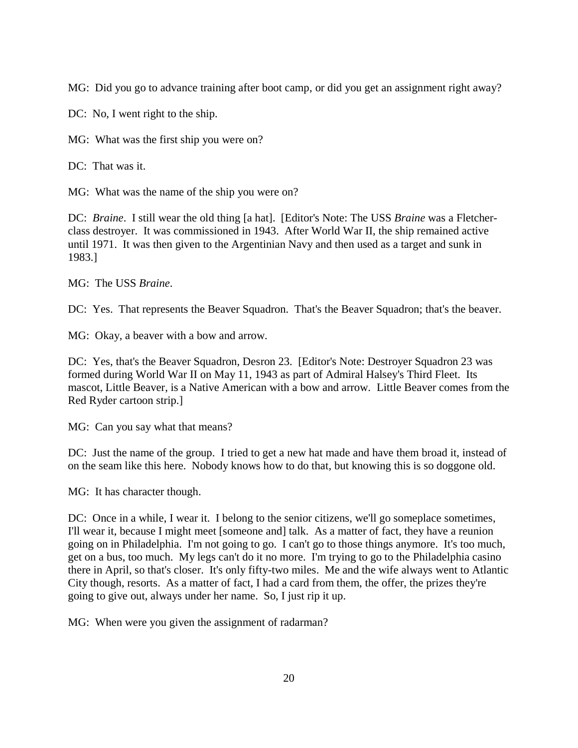MG: Did you go to advance training after boot camp, or did you get an assignment right away?

DC: No, I went right to the ship.

MG: What was the first ship you were on?

DC: That was it.

MG: What was the name of the ship you were on?

DC: *Braine*. I still wear the old thing [a hat]. [Editor's Note: The USS *Braine* was a Fletcherclass destroyer. It was commissioned in 1943. After World War II, the ship remained active until 1971. It was then given to the Argentinian Navy and then used as a target and sunk in 1983.]

MG: The USS *Braine*.

DC: Yes. That represents the Beaver Squadron. That's the Beaver Squadron; that's the beaver.

MG: Okay, a beaver with a bow and arrow.

DC: Yes, that's the Beaver Squadron, Desron 23. [Editor's Note: Destroyer Squadron 23 was formed during World War II on May 11, 1943 as part of Admiral Halsey's Third Fleet. Its mascot, Little Beaver, is a Native American with a bow and arrow. Little Beaver comes from the Red Ryder cartoon strip.]

MG: Can you say what that means?

DC: Just the name of the group. I tried to get a new hat made and have them broad it, instead of on the seam like this here. Nobody knows how to do that, but knowing this is so doggone old.

MG: It has character though.

DC: Once in a while, I wear it. I belong to the senior citizens, we'll go someplace sometimes, I'll wear it, because I might meet [someone and] talk. As a matter of fact, they have a reunion going on in Philadelphia. I'm not going to go. I can't go to those things anymore. It's too much, get on a bus, too much. My legs can't do it no more. I'm trying to go to the Philadelphia casino there in April, so that's closer. It's only fifty-two miles. Me and the wife always went to Atlantic City though, resorts. As a matter of fact, I had a card from them, the offer, the prizes they're going to give out, always under her name. So, I just rip it up.

MG: When were you given the assignment of radarman?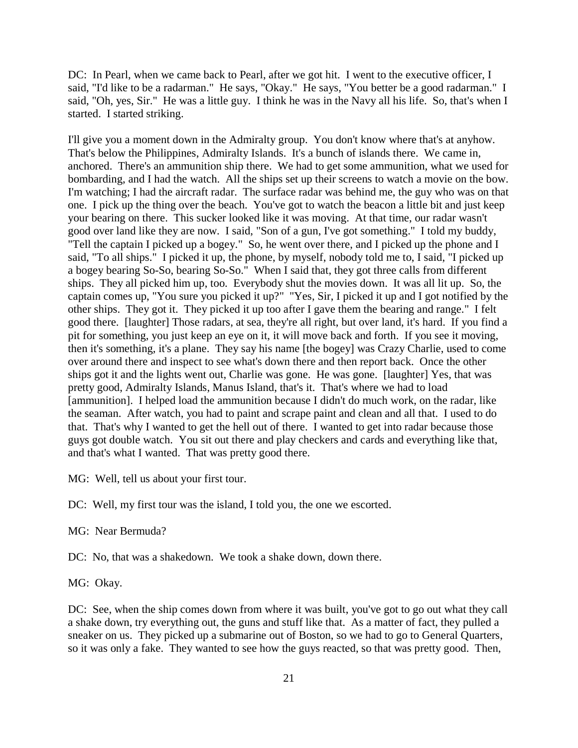DC: In Pearl, when we came back to Pearl, after we got hit. I went to the executive officer, I said, "I'd like to be a radarman." He says, "Okay." He says, "You better be a good radarman." I said, "Oh, yes, Sir." He was a little guy. I think he was in the Navy all his life. So, that's when I started. I started striking.

I'll give you a moment down in the Admiralty group. You don't know where that's at anyhow. That's below the Philippines, Admiralty Islands. It's a bunch of islands there. We came in, anchored. There's an ammunition ship there. We had to get some ammunition, what we used for bombarding, and I had the watch. All the ships set up their screens to watch a movie on the bow. I'm watching; I had the aircraft radar. The surface radar was behind me, the guy who was on that one. I pick up the thing over the beach. You've got to watch the beacon a little bit and just keep your bearing on there. This sucker looked like it was moving. At that time, our radar wasn't good over land like they are now. I said, "Son of a gun, I've got something." I told my buddy, "Tell the captain I picked up a bogey." So, he went over there, and I picked up the phone and I said, "To all ships." I picked it up, the phone, by myself, nobody told me to, I said, "I picked up a bogey bearing So-So, bearing So-So." When I said that, they got three calls from different ships. They all picked him up, too. Everybody shut the movies down. It was all lit up. So, the captain comes up, "You sure you picked it up?" "Yes, Sir, I picked it up and I got notified by the other ships. They got it. They picked it up too after I gave them the bearing and range." I felt good there. [laughter] Those radars, at sea, they're all right, but over land, it's hard. If you find a pit for something, you just keep an eye on it, it will move back and forth. If you see it moving, then it's something, it's a plane. They say his name [the bogey] was Crazy Charlie, used to come over around there and inspect to see what's down there and then report back. Once the other ships got it and the lights went out, Charlie was gone. He was gone. [laughter] Yes, that was pretty good, Admiralty Islands, Manus Island, that's it. That's where we had to load [ammunition]. I helped load the ammunition because I didn't do much work, on the radar, like the seaman. After watch, you had to paint and scrape paint and clean and all that. I used to do that. That's why I wanted to get the hell out of there. I wanted to get into radar because those guys got double watch. You sit out there and play checkers and cards and everything like that, and that's what I wanted. That was pretty good there.

MG: Well, tell us about your first tour.

DC: Well, my first tour was the island, I told you, the one we escorted.

MG: Near Bermuda?

DC: No, that was a shakedown. We took a shake down, down there.

MG: Okay.

DC: See, when the ship comes down from where it was built, you've got to go out what they call a shake down, try everything out, the guns and stuff like that. As a matter of fact, they pulled a sneaker on us. They picked up a submarine out of Boston, so we had to go to General Quarters, so it was only a fake. They wanted to see how the guys reacted, so that was pretty good. Then,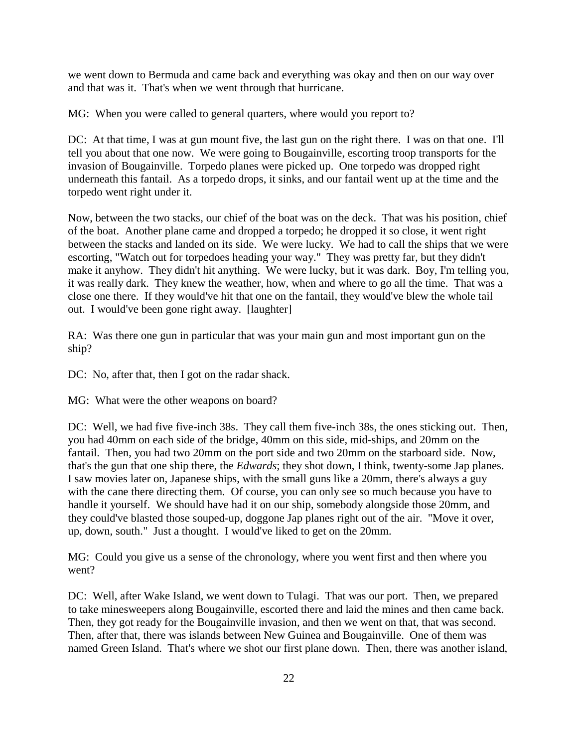we went down to Bermuda and came back and everything was okay and then on our way over and that was it. That's when we went through that hurricane.

MG: When you were called to general quarters, where would you report to?

DC: At that time, I was at gun mount five, the last gun on the right there. I was on that one. I'll tell you about that one now. We were going to Bougainville, escorting troop transports for the invasion of Bougainville. Torpedo planes were picked up. One torpedo was dropped right underneath this fantail. As a torpedo drops, it sinks, and our fantail went up at the time and the torpedo went right under it.

Now, between the two stacks, our chief of the boat was on the deck. That was his position, chief of the boat. Another plane came and dropped a torpedo; he dropped it so close, it went right between the stacks and landed on its side. We were lucky. We had to call the ships that we were escorting, "Watch out for torpedoes heading your way." They was pretty far, but they didn't make it anyhow. They didn't hit anything. We were lucky, but it was dark. Boy, I'm telling you, it was really dark. They knew the weather, how, when and where to go all the time. That was a close one there. If they would've hit that one on the fantail, they would've blew the whole tail out. I would've been gone right away. [laughter]

RA: Was there one gun in particular that was your main gun and most important gun on the ship?

DC: No, after that, then I got on the radar shack.

MG: What were the other weapons on board?

DC: Well, we had five five-inch 38s. They call them five-inch 38s, the ones sticking out. Then, you had 40mm on each side of the bridge, 40mm on this side, mid-ships, and 20mm on the fantail. Then, you had two 20mm on the port side and two 20mm on the starboard side. Now, that's the gun that one ship there, the *Edwards*; they shot down, I think, twenty-some Jap planes. I saw movies later on, Japanese ships, with the small guns like a 20mm, there's always a guy with the cane there directing them. Of course, you can only see so much because you have to handle it yourself. We should have had it on our ship, somebody alongside those 20mm, and they could've blasted those souped-up, doggone Jap planes right out of the air. "Move it over, up, down, south." Just a thought. I would've liked to get on the 20mm.

MG: Could you give us a sense of the chronology, where you went first and then where you went?

DC: Well, after Wake Island, we went down to Tulagi. That was our port. Then, we prepared to take minesweepers along Bougainville, escorted there and laid the mines and then came back. Then, they got ready for the Bougainville invasion, and then we went on that, that was second. Then, after that, there was islands between New Guinea and Bougainville. One of them was named Green Island. That's where we shot our first plane down. Then, there was another island,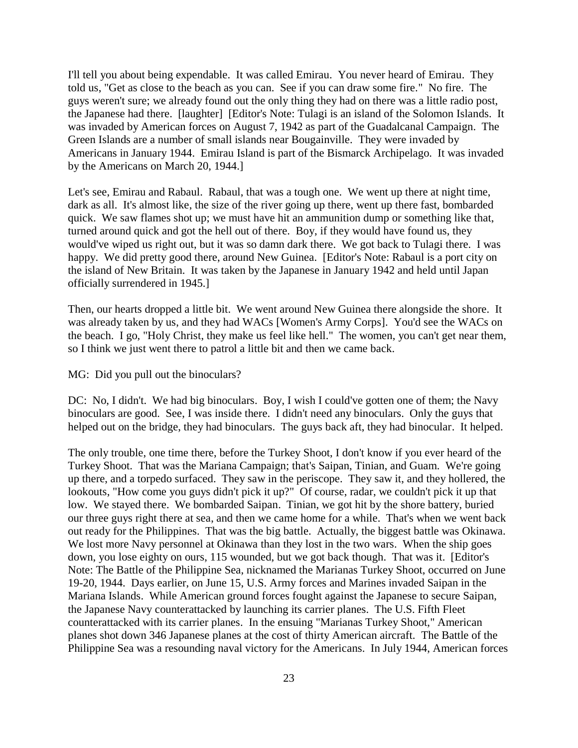I'll tell you about being expendable. It was called Emirau. You never heard of Emirau. They told us, "Get as close to the beach as you can. See if you can draw some fire." No fire. The guys weren't sure; we already found out the only thing they had on there was a little radio post, the Japanese had there. [laughter] [Editor's Note: Tulagi is an island of the Solomon Islands. It was invaded by American forces on August 7, 1942 as part of the Guadalcanal Campaign. The Green Islands are a number of small islands near Bougainville. They were invaded by Americans in January 1944. Emirau Island is part of the Bismarck Archipelago. It was invaded by the Americans on March 20, 1944.]

Let's see, Emirau and Rabaul. Rabaul, that was a tough one. We went up there at night time, dark as all. It's almost like, the size of the river going up there, went up there fast, bombarded quick. We saw flames shot up; we must have hit an ammunition dump or something like that, turned around quick and got the hell out of there. Boy, if they would have found us, they would've wiped us right out, but it was so damn dark there. We got back to Tulagi there. I was happy. We did pretty good there, around New Guinea. [Editor's Note: Rabaul is a port city on the island of New Britain. It was taken by the Japanese in January 1942 and held until Japan officially surrendered in 1945.]

Then, our hearts dropped a little bit. We went around New Guinea there alongside the shore. It was already taken by us, and they had WACs [Women's Army Corps]. You'd see the WACs on the beach. I go, "Holy Christ, they make us feel like hell." The women, you can't get near them, so I think we just went there to patrol a little bit and then we came back.

MG: Did you pull out the binoculars?

DC: No, I didn't. We had big binoculars. Boy, I wish I could've gotten one of them; the Navy binoculars are good. See, I was inside there. I didn't need any binoculars. Only the guys that helped out on the bridge, they had binoculars. The guys back aft, they had binocular. It helped.

The only trouble, one time there, before the Turkey Shoot, I don't know if you ever heard of the Turkey Shoot. That was the Mariana Campaign; that's Saipan, Tinian, and Guam. We're going up there, and a torpedo surfaced. They saw in the periscope. They saw it, and they hollered, the lookouts, "How come you guys didn't pick it up?" Of course, radar, we couldn't pick it up that low. We stayed there. We bombarded Saipan. Tinian, we got hit by the shore battery, buried our three guys right there at sea, and then we came home for a while. That's when we went back out ready for the Philippines. That was the big battle. Actually, the biggest battle was Okinawa. We lost more Navy personnel at Okinawa than they lost in the two wars. When the ship goes down, you lose eighty on ours, 115 wounded, but we got back though. That was it. [Editor's Note: The Battle of the Philippine Sea, nicknamed the Marianas Turkey Shoot, occurred on June 19-20, 1944. Days earlier, on June 15, U.S. Army forces and Marines invaded Saipan in the Mariana Islands. While American ground forces fought against the Japanese to secure Saipan, the Japanese Navy counterattacked by launching its carrier planes. The U.S. Fifth Fleet counterattacked with its carrier planes. In the ensuing "Marianas Turkey Shoot," American planes shot down 346 Japanese planes at the cost of thirty American aircraft. The Battle of the Philippine Sea was a resounding naval victory for the Americans. In July 1944, American forces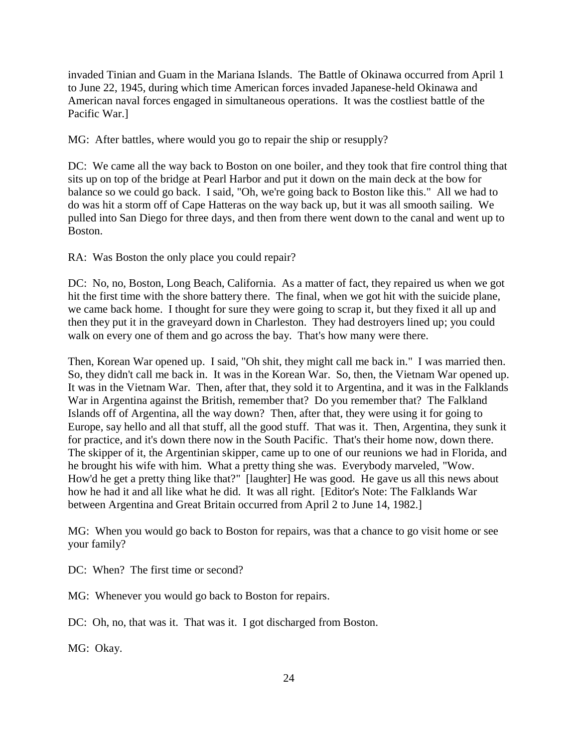invaded Tinian and Guam in the Mariana Islands. The Battle of Okinawa occurred from April 1 to June 22, 1945, during which time American forces invaded Japanese-held Okinawa and American naval forces engaged in simultaneous operations. It was the costliest battle of the Pacific War.]

MG: After battles, where would you go to repair the ship or resupply?

DC: We came all the way back to Boston on one boiler, and they took that fire control thing that sits up on top of the bridge at Pearl Harbor and put it down on the main deck at the bow for balance so we could go back. I said, "Oh, we're going back to Boston like this." All we had to do was hit a storm off of Cape Hatteras on the way back up, but it was all smooth sailing. We pulled into San Diego for three days, and then from there went down to the canal and went up to Boston.

RA: Was Boston the only place you could repair?

DC: No, no, Boston, Long Beach, California. As a matter of fact, they repaired us when we got hit the first time with the shore battery there. The final, when we got hit with the suicide plane, we came back home. I thought for sure they were going to scrap it, but they fixed it all up and then they put it in the graveyard down in Charleston. They had destroyers lined up; you could walk on every one of them and go across the bay. That's how many were there.

Then, Korean War opened up. I said, "Oh shit, they might call me back in." I was married then. So, they didn't call me back in. It was in the Korean War. So, then, the Vietnam War opened up. It was in the Vietnam War. Then, after that, they sold it to Argentina, and it was in the Falklands War in Argentina against the British, remember that? Do you remember that? The Falkland Islands off of Argentina, all the way down? Then, after that, they were using it for going to Europe, say hello and all that stuff, all the good stuff. That was it. Then, Argentina, they sunk it for practice, and it's down there now in the South Pacific. That's their home now, down there. The skipper of it, the Argentinian skipper, came up to one of our reunions we had in Florida, and he brought his wife with him. What a pretty thing she was. Everybody marveled, "Wow. How'd he get a pretty thing like that?" [laughter] He was good. He gave us all this news about how he had it and all like what he did. It was all right. [Editor's Note: The Falklands War between Argentina and Great Britain occurred from April 2 to June 14, 1982.]

MG: When you would go back to Boston for repairs, was that a chance to go visit home or see your family?

DC: When? The first time or second?

MG: Whenever you would go back to Boston for repairs.

DC: Oh, no, that was it. That was it. I got discharged from Boston.

MG: Okay.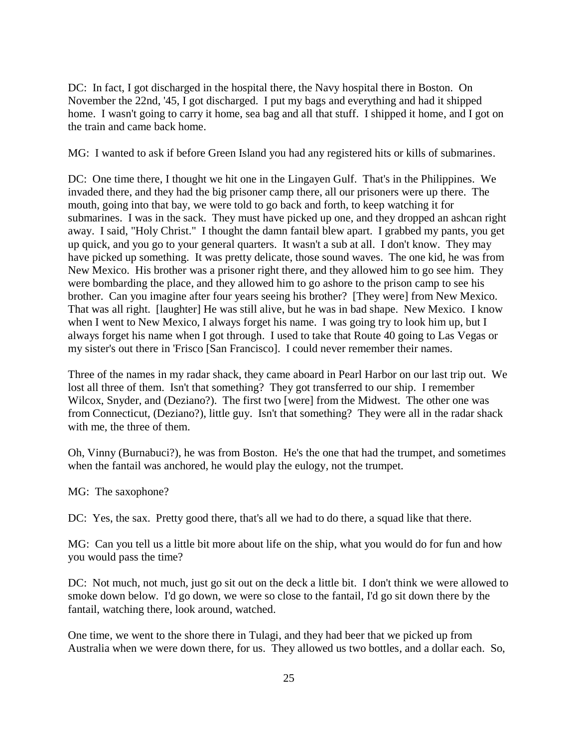DC: In fact, I got discharged in the hospital there, the Navy hospital there in Boston. On November the 22nd, '45, I got discharged. I put my bags and everything and had it shipped home. I wasn't going to carry it home, sea bag and all that stuff. I shipped it home, and I got on the train and came back home.

MG: I wanted to ask if before Green Island you had any registered hits or kills of submarines.

DC: One time there, I thought we hit one in the Lingayen Gulf. That's in the Philippines. We invaded there, and they had the big prisoner camp there, all our prisoners were up there. The mouth, going into that bay, we were told to go back and forth, to keep watching it for submarines. I was in the sack. They must have picked up one, and they dropped an ashcan right away. I said, "Holy Christ." I thought the damn fantail blew apart. I grabbed my pants, you get up quick, and you go to your general quarters. It wasn't a sub at all. I don't know. They may have picked up something. It was pretty delicate, those sound waves. The one kid, he was from New Mexico. His brother was a prisoner right there, and they allowed him to go see him. They were bombarding the place, and they allowed him to go ashore to the prison camp to see his brother. Can you imagine after four years seeing his brother? [They were] from New Mexico. That was all right. [laughter] He was still alive, but he was in bad shape. New Mexico. I know when I went to New Mexico, I always forget his name. I was going try to look him up, but I always forget his name when I got through. I used to take that Route 40 going to Las Vegas or my sister's out there in 'Frisco [San Francisco]. I could never remember their names.

Three of the names in my radar shack, they came aboard in Pearl Harbor on our last trip out. We lost all three of them. Isn't that something? They got transferred to our ship. I remember Wilcox, Snyder, and (Deziano?). The first two [were] from the Midwest. The other one was from Connecticut, (Deziano?), little guy. Isn't that something? They were all in the radar shack with me, the three of them.

Oh, Vinny (Burnabuci?), he was from Boston. He's the one that had the trumpet, and sometimes when the fantail was anchored, he would play the eulogy, not the trumpet.

MG: The saxophone?

DC: Yes, the sax. Pretty good there, that's all we had to do there, a squad like that there.

MG: Can you tell us a little bit more about life on the ship, what you would do for fun and how you would pass the time?

DC: Not much, not much, just go sit out on the deck a little bit. I don't think we were allowed to smoke down below. I'd go down, we were so close to the fantail, I'd go sit down there by the fantail, watching there, look around, watched.

One time, we went to the shore there in Tulagi, and they had beer that we picked up from Australia when we were down there, for us. They allowed us two bottles, and a dollar each. So,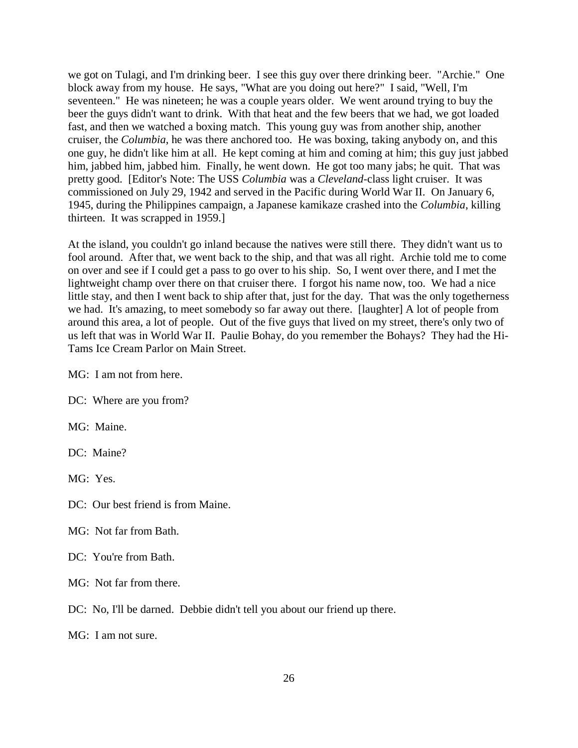we got on Tulagi, and I'm drinking beer. I see this guy over there drinking beer. "Archie." One block away from my house. He says, "What are you doing out here?" I said, "Well, I'm seventeen." He was nineteen; he was a couple years older. We went around trying to buy the beer the guys didn't want to drink. With that heat and the few beers that we had, we got loaded fast, and then we watched a boxing match. This young guy was from another ship, another cruiser, the *Columbia*, he was there anchored too. He was boxing, taking anybody on, and this one guy, he didn't like him at all. He kept coming at him and coming at him; this guy just jabbed him, jabbed him, jabbed him. Finally, he went down. He got too many jabs; he quit. That was pretty good. [Editor's Note: The USS *Columbia* was a *Cleveland*-class light cruiser. It was commissioned on July 29, 1942 and served in the Pacific during World War II. On January 6, 1945, during the Philippines campaign, a Japanese kamikaze crashed into the *Columbia*, killing thirteen. It was scrapped in 1959.]

At the island, you couldn't go inland because the natives were still there. They didn't want us to fool around. After that, we went back to the ship, and that was all right. Archie told me to come on over and see if I could get a pass to go over to his ship. So, I went over there, and I met the lightweight champ over there on that cruiser there. I forgot his name now, too. We had a nice little stay, and then I went back to ship after that, just for the day. That was the only togetherness we had. It's amazing, to meet somebody so far away out there. [laughter] A lot of people from around this area, a lot of people. Out of the five guys that lived on my street, there's only two of us left that was in World War II. Paulie Bohay, do you remember the Bohays? They had the Hi-Tams Ice Cream Parlor on Main Street.

MG: I am not from here.

DC: Where are you from?

MG: Maine.

DC: Maine?

MG: Yes.

- DC: Our best friend is from Maine.
- MG: Not far from Bath.

#### DC: You're from Bath.

- MG: Not far from there.
- DC: No, I'll be darned. Debbie didn't tell you about our friend up there.

MG: I am not sure.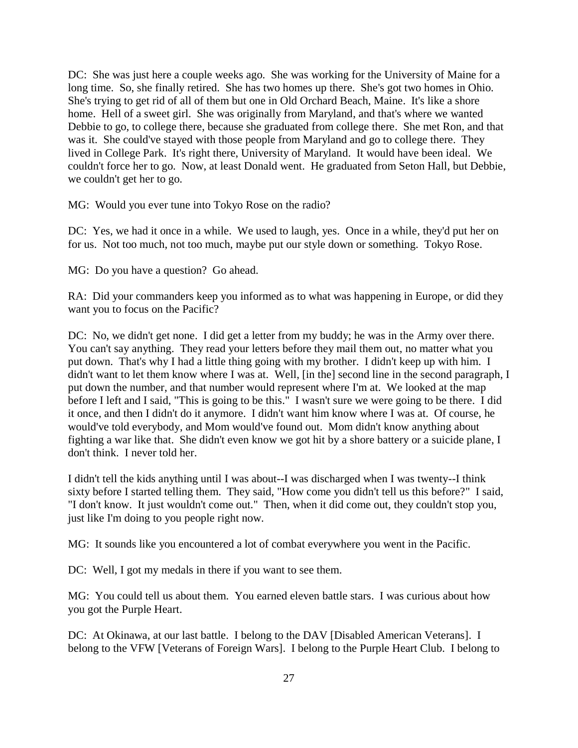DC: She was just here a couple weeks ago. She was working for the University of Maine for a long time. So, she finally retired. She has two homes up there. She's got two homes in Ohio. She's trying to get rid of all of them but one in Old Orchard Beach, Maine. It's like a shore home. Hell of a sweet girl. She was originally from Maryland, and that's where we wanted Debbie to go, to college there, because she graduated from college there. She met Ron, and that was it. She could've stayed with those people from Maryland and go to college there. They lived in College Park. It's right there, University of Maryland. It would have been ideal. We couldn't force her to go. Now, at least Donald went. He graduated from Seton Hall, but Debbie, we couldn't get her to go.

MG: Would you ever tune into Tokyo Rose on the radio?

DC: Yes, we had it once in a while. We used to laugh, yes. Once in a while, they'd put her on for us. Not too much, not too much, maybe put our style down or something. Tokyo Rose.

MG: Do you have a question? Go ahead.

RA: Did your commanders keep you informed as to what was happening in Europe, or did they want you to focus on the Pacific?

DC: No, we didn't get none. I did get a letter from my buddy; he was in the Army over there. You can't say anything. They read your letters before they mail them out, no matter what you put down. That's why I had a little thing going with my brother. I didn't keep up with him. I didn't want to let them know where I was at. Well, [in the] second line in the second paragraph, I put down the number, and that number would represent where I'm at. We looked at the map before I left and I said, "This is going to be this." I wasn't sure we were going to be there. I did it once, and then I didn't do it anymore. I didn't want him know where I was at. Of course, he would've told everybody, and Mom would've found out. Mom didn't know anything about fighting a war like that. She didn't even know we got hit by a shore battery or a suicide plane, I don't think. I never told her.

I didn't tell the kids anything until I was about--I was discharged when I was twenty--I think sixty before I started telling them. They said, "How come you didn't tell us this before?" I said, "I don't know. It just wouldn't come out." Then, when it did come out, they couldn't stop you, just like I'm doing to you people right now.

MG: It sounds like you encountered a lot of combat everywhere you went in the Pacific.

DC: Well, I got my medals in there if you want to see them.

MG: You could tell us about them. You earned eleven battle stars. I was curious about how you got the Purple Heart.

DC: At Okinawa, at our last battle. I belong to the DAV [Disabled American Veterans]. I belong to the VFW [Veterans of Foreign Wars]. I belong to the Purple Heart Club. I belong to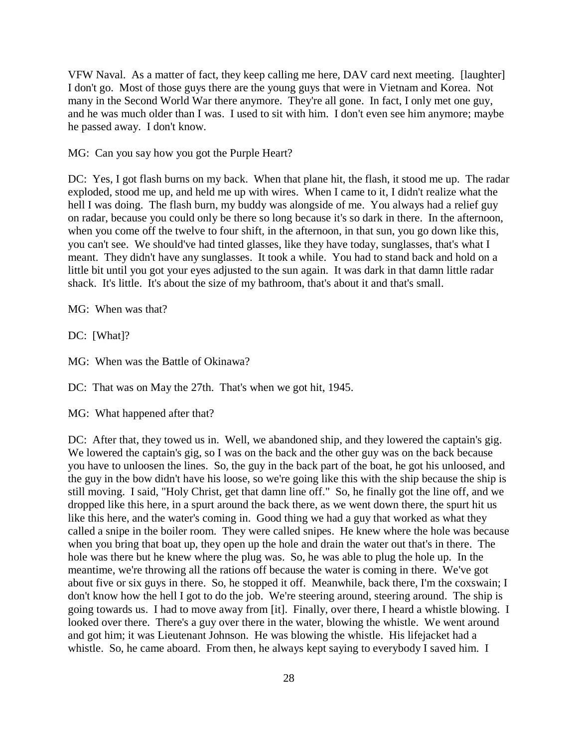VFW Naval. As a matter of fact, they keep calling me here, DAV card next meeting. [laughter] I don't go. Most of those guys there are the young guys that were in Vietnam and Korea. Not many in the Second World War there anymore. They're all gone. In fact, I only met one guy, and he was much older than I was. I used to sit with him. I don't even see him anymore; maybe he passed away. I don't know.

MG: Can you say how you got the Purple Heart?

DC: Yes, I got flash burns on my back. When that plane hit, the flash, it stood me up. The radar exploded, stood me up, and held me up with wires. When I came to it, I didn't realize what the hell I was doing. The flash burn, my buddy was alongside of me. You always had a relief guy on radar, because you could only be there so long because it's so dark in there. In the afternoon, when you come off the twelve to four shift, in the afternoon, in that sun, you go down like this, you can't see. We should've had tinted glasses, like they have today, sunglasses, that's what I meant. They didn't have any sunglasses. It took a while. You had to stand back and hold on a little bit until you got your eyes adjusted to the sun again. It was dark in that damn little radar shack. It's little. It's about the size of my bathroom, that's about it and that's small.

MG: When was that?

DC: [What]?

MG: When was the Battle of Okinawa?

DC: That was on May the 27th. That's when we got hit, 1945.

MG: What happened after that?

DC: After that, they towed us in. Well, we abandoned ship, and they lowered the captain's gig. We lowered the captain's gig, so I was on the back and the other guy was on the back because you have to unloosen the lines. So, the guy in the back part of the boat, he got his unloosed, and the guy in the bow didn't have his loose, so we're going like this with the ship because the ship is still moving. I said, "Holy Christ, get that damn line off." So, he finally got the line off, and we dropped like this here, in a spurt around the back there, as we went down there, the spurt hit us like this here, and the water's coming in. Good thing we had a guy that worked as what they called a snipe in the boiler room. They were called snipes. He knew where the hole was because when you bring that boat up, they open up the hole and drain the water out that's in there. The hole was there but he knew where the plug was. So, he was able to plug the hole up. In the meantime, we're throwing all the rations off because the water is coming in there. We've got about five or six guys in there. So, he stopped it off. Meanwhile, back there, I'm the coxswain; I don't know how the hell I got to do the job. We're steering around, steering around. The ship is going towards us. I had to move away from [it]. Finally, over there, I heard a whistle blowing. I looked over there. There's a guy over there in the water, blowing the whistle. We went around and got him; it was Lieutenant Johnson. He was blowing the whistle. His lifejacket had a whistle. So, he came aboard. From then, he always kept saying to everybody I saved him. I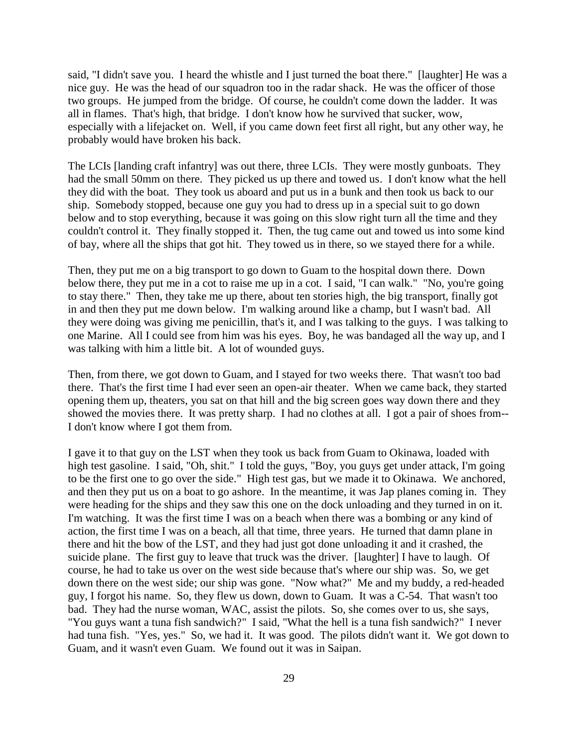said, "I didn't save you. I heard the whistle and I just turned the boat there." [laughter] He was a nice guy. He was the head of our squadron too in the radar shack. He was the officer of those two groups. He jumped from the bridge. Of course, he couldn't come down the ladder. It was all in flames. That's high, that bridge. I don't know how he survived that sucker, wow, especially with a lifejacket on. Well, if you came down feet first all right, but any other way, he probably would have broken his back.

The LCIs [landing craft infantry] was out there, three LCIs. They were mostly gunboats. They had the small 50mm on there. They picked us up there and towed us. I don't know what the hell they did with the boat. They took us aboard and put us in a bunk and then took us back to our ship. Somebody stopped, because one guy you had to dress up in a special suit to go down below and to stop everything, because it was going on this slow right turn all the time and they couldn't control it. They finally stopped it. Then, the tug came out and towed us into some kind of bay, where all the ships that got hit. They towed us in there, so we stayed there for a while.

Then, they put me on a big transport to go down to Guam to the hospital down there. Down below there, they put me in a cot to raise me up in a cot. I said, "I can walk." "No, you're going to stay there." Then, they take me up there, about ten stories high, the big transport, finally got in and then they put me down below. I'm walking around like a champ, but I wasn't bad. All they were doing was giving me penicillin, that's it, and I was talking to the guys. I was talking to one Marine. All I could see from him was his eyes. Boy, he was bandaged all the way up, and I was talking with him a little bit. A lot of wounded guys.

Then, from there, we got down to Guam, and I stayed for two weeks there. That wasn't too bad there. That's the first time I had ever seen an open-air theater. When we came back, they started opening them up, theaters, you sat on that hill and the big screen goes way down there and they showed the movies there. It was pretty sharp. I had no clothes at all. I got a pair of shoes from-- I don't know where I got them from.

I gave it to that guy on the LST when they took us back from Guam to Okinawa, loaded with high test gasoline. I said, "Oh, shit." I told the guys, "Boy, you guys get under attack, I'm going to be the first one to go over the side." High test gas, but we made it to Okinawa. We anchored, and then they put us on a boat to go ashore. In the meantime, it was Jap planes coming in. They were heading for the ships and they saw this one on the dock unloading and they turned in on it. I'm watching. It was the first time I was on a beach when there was a bombing or any kind of action, the first time I was on a beach, all that time, three years. He turned that damn plane in there and hit the bow of the LST, and they had just got done unloading it and it crashed, the suicide plane. The first guy to leave that truck was the driver. [laughter] I have to laugh. Of course, he had to take us over on the west side because that's where our ship was. So, we get down there on the west side; our ship was gone. "Now what?" Me and my buddy, a red-headed guy, I forgot his name. So, they flew us down, down to Guam. It was a C-54. That wasn't too bad. They had the nurse woman, WAC, assist the pilots. So, she comes over to us, she says, "You guys want a tuna fish sandwich?" I said, "What the hell is a tuna fish sandwich?" I never had tuna fish. "Yes, yes." So, we had it. It was good. The pilots didn't want it. We got down to Guam, and it wasn't even Guam. We found out it was in Saipan.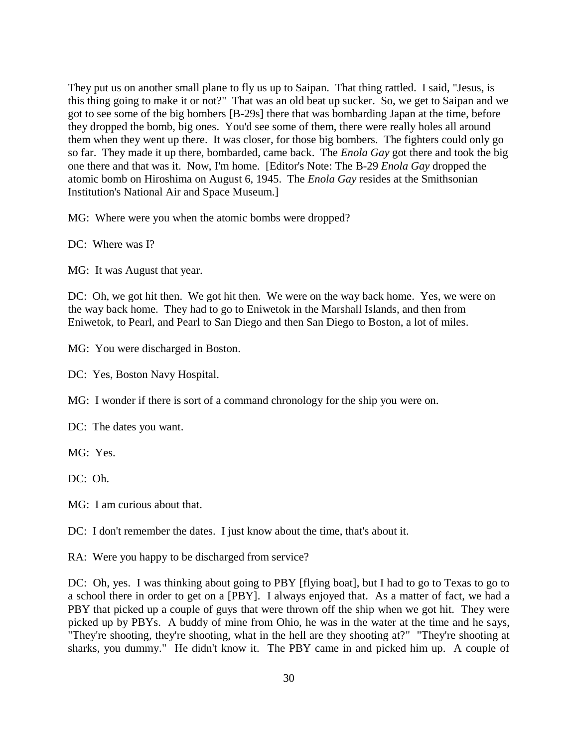They put us on another small plane to fly us up to Saipan. That thing rattled. I said, "Jesus, is this thing going to make it or not?" That was an old beat up sucker. So, we get to Saipan and we got to see some of the big bombers [B-29s] there that was bombarding Japan at the time, before they dropped the bomb, big ones. You'd see some of them, there were really holes all around them when they went up there. It was closer, for those big bombers. The fighters could only go so far. They made it up there, bombarded, came back. The *Enola Gay* got there and took the big one there and that was it. Now, I'm home. [Editor's Note: The B-29 *Enola Gay* dropped the atomic bomb on Hiroshima on August 6, 1945. The *Enola Gay* resides at the Smithsonian Institution's National Air and Space Museum.]

MG: Where were you when the atomic bombs were dropped?

DC: Where was I?

MG: It was August that year.

DC: Oh, we got hit then. We got hit then. We were on the way back home. Yes, we were on the way back home. They had to go to Eniwetok in the Marshall Islands, and then from Eniwetok, to Pearl, and Pearl to San Diego and then San Diego to Boston, a lot of miles.

MG: You were discharged in Boston.

DC: Yes, Boston Navy Hospital.

MG: I wonder if there is sort of a command chronology for the ship you were on.

DC: The dates you want.

MG: Yes.

DC: Oh.

MG: I am curious about that.

DC: I don't remember the dates. I just know about the time, that's about it.

RA: Were you happy to be discharged from service?

DC: Oh, yes. I was thinking about going to PBY [flying boat], but I had to go to Texas to go to a school there in order to get on a [PBY]. I always enjoyed that. As a matter of fact, we had a PBY that picked up a couple of guys that were thrown off the ship when we got hit. They were picked up by PBYs. A buddy of mine from Ohio, he was in the water at the time and he says, "They're shooting, they're shooting, what in the hell are they shooting at?" "They're shooting at sharks, you dummy." He didn't know it. The PBY came in and picked him up. A couple of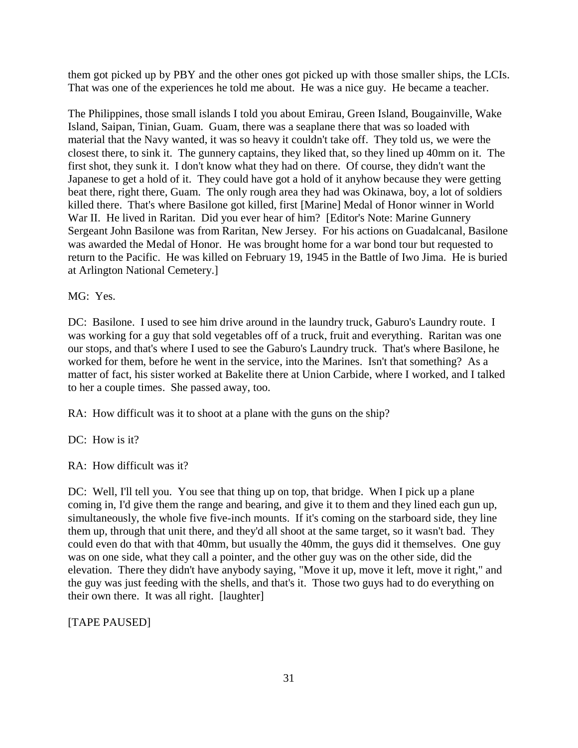them got picked up by PBY and the other ones got picked up with those smaller ships, the LCIs. That was one of the experiences he told me about. He was a nice guy. He became a teacher.

The Philippines, those small islands I told you about Emirau, Green Island, Bougainville, Wake Island, Saipan, Tinian, Guam. Guam, there was a seaplane there that was so loaded with material that the Navy wanted, it was so heavy it couldn't take off. They told us, we were the closest there, to sink it. The gunnery captains, they liked that, so they lined up 40mm on it. The first shot, they sunk it. I don't know what they had on there. Of course, they didn't want the Japanese to get a hold of it. They could have got a hold of it anyhow because they were getting beat there, right there, Guam. The only rough area they had was Okinawa, boy, a lot of soldiers killed there. That's where Basilone got killed, first [Marine] Medal of Honor winner in World War II. He lived in Raritan. Did you ever hear of him? [Editor's Note: Marine Gunnery Sergeant John Basilone was from Raritan, New Jersey. For his actions on Guadalcanal, Basilone was awarded the Medal of Honor. He was brought home for a war bond tour but requested to return to the Pacific. He was killed on February 19, 1945 in the Battle of Iwo Jima. He is buried at Arlington National Cemetery.]

MG: Yes.

DC: Basilone. I used to see him drive around in the laundry truck, Gaburo's Laundry route. I was working for a guy that sold vegetables off of a truck, fruit and everything. Raritan was one our stops, and that's where I used to see the Gaburo's Laundry truck. That's where Basilone, he worked for them, before he went in the service, into the Marines. Isn't that something? As a matter of fact, his sister worked at Bakelite there at Union Carbide, where I worked, and I talked to her a couple times. She passed away, too.

RA: How difficult was it to shoot at a plane with the guns on the ship?

DC: How is it?

RA: How difficult was it?

DC: Well, I'll tell you. You see that thing up on top, that bridge. When I pick up a plane coming in, I'd give them the range and bearing, and give it to them and they lined each gun up, simultaneously, the whole five five-inch mounts. If it's coming on the starboard side, they line them up, through that unit there, and they'd all shoot at the same target, so it wasn't bad. They could even do that with that 40mm, but usually the 40mm, the guys did it themselves. One guy was on one side, what they call a pointer, and the other guy was on the other side, did the elevation. There they didn't have anybody saying, "Move it up, move it left, move it right," and the guy was just feeding with the shells, and that's it. Those two guys had to do everything on their own there. It was all right. [laughter]

[TAPE PAUSED]